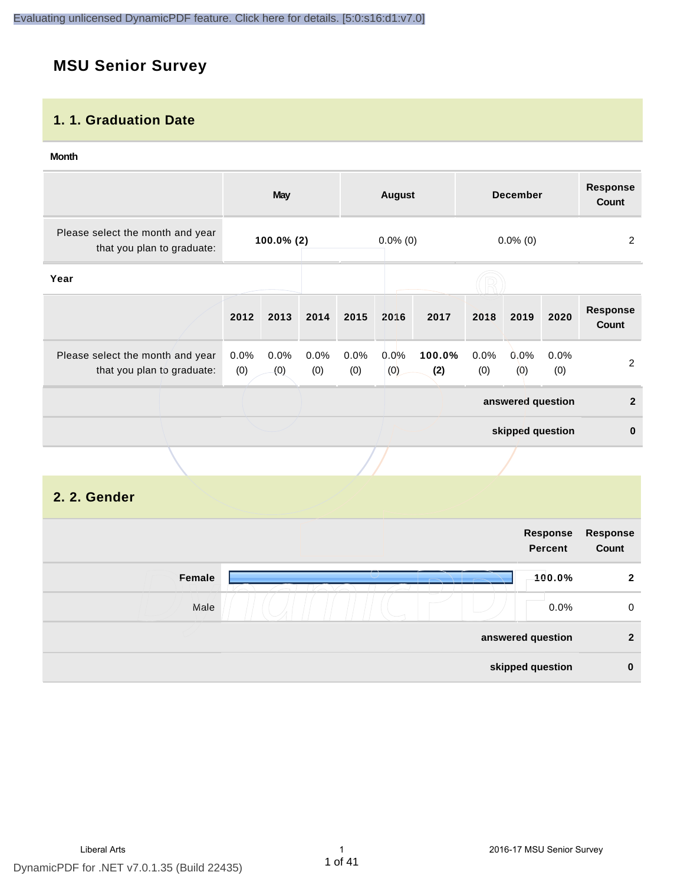# **MSU Senior Survey**

## **1. 1. Graduation Date**

#### **Month**

|                                                                |               | <b>May</b>  |                |             | <b>August</b> |               |                | <b>December</b>   |             | <b>Response</b><br>Count |
|----------------------------------------------------------------|---------------|-------------|----------------|-------------|---------------|---------------|----------------|-------------------|-------------|--------------------------|
| Please select the month and year<br>that you plan to graduate: | $100.0\%$ (2) |             | $0.0\%$ (0)    |             | $0.0\%$ (0)   |               | $\overline{c}$ |                   |             |                          |
| Year                                                           |               |             |                |             |               |               |                |                   |             |                          |
|                                                                | 2012          | 2013        | 2014           | 2015        | 2016          | 2017          | 2018           | 2019              | 2020        | <b>Response</b><br>Count |
| Please select the month and year<br>that you plan to graduate: | 0.0%<br>(0)   | 0.0%<br>(0) | $0.0\%$<br>(0) | 0.0%<br>(0) | 0.0%<br>(0)   | 100.0%<br>(2) | 0.0%<br>(0)    | 0.0%<br>(0)       | 0.0%<br>(0) | $\overline{2}$           |
|                                                                |               |             |                |             |               |               |                | answered question |             | $\overline{2}$           |
|                                                                |               |             |                |             |               |               |                | skipped question  |             | $\mathbf{0}$             |
|                                                                |               |             |                |             |               |               |                |                   |             |                          |

## **2. 2. Gender**

| Response<br>Percent |                                       |
|---------------------|---------------------------------------|
| 100.0%              | Female                                |
| $0.0\%$             | Male                                  |
|                     |                                       |
|                     |                                       |
|                     | answered question<br>skipped question |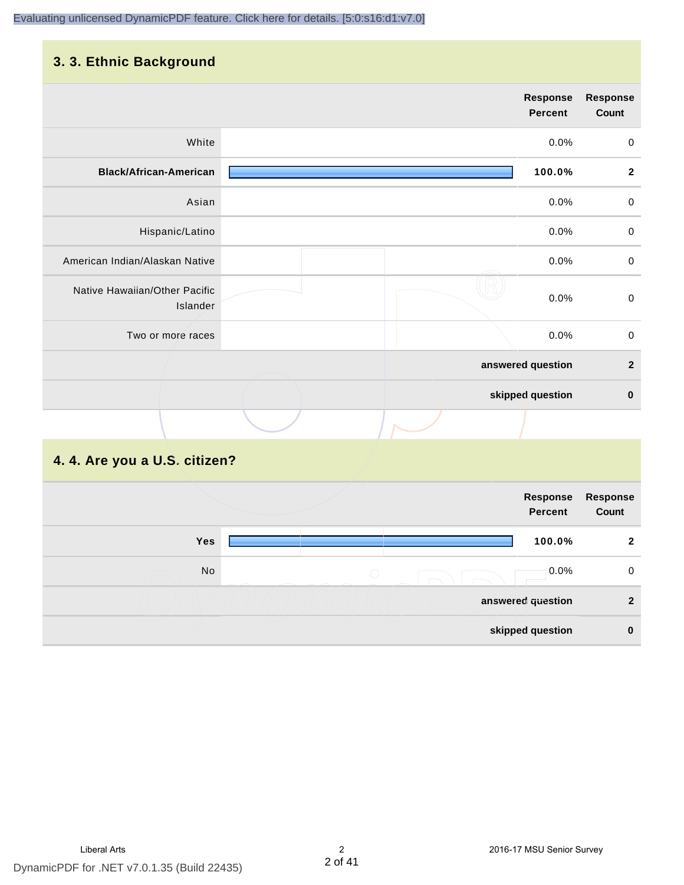# **3. 3. Ethnic Background**

|                                           | <b>Response</b><br><b>Percent</b> | Response<br>Count |
|-------------------------------------------|-----------------------------------|-------------------|
| White                                     | 0.0%                              | $\pmb{0}$         |
| <b>Black/African-American</b>             | 100.0%                            | $\mathbf{2}$      |
| Asian                                     | 0.0%                              | $\mathbf 0$       |
| Hispanic/Latino                           | 0.0%                              | $\mathbf 0$       |
| American Indian/Alaskan Native            | 0.0%                              | $\mathbf 0$       |
| Native Hawaiian/Other Pacific<br>Islander | 0.0%                              | $\,0\,$           |
| Two or more races                         | 0.0%                              | $\pmb{0}$         |
|                                           | answered question                 | $\mathbf 2$       |
|                                           | skipped question                  | $\pmb{0}$         |
|                                           |                                   |                   |
|                                           |                                   |                   |

## **4. 4. Are you a U.S. citizen?**

|            |            | Response<br>Percent | Response<br>Count |
|------------|------------|---------------------|-------------------|
| <b>Yes</b> |            | 100.0%              | $\mathbf{2}$      |
| No         | $\bigcirc$ | $0.0\%$             | 0                 |
|            |            | answered question   | $\mathbf{2}$      |
|            |            | skipped question    | $\bf{0}$          |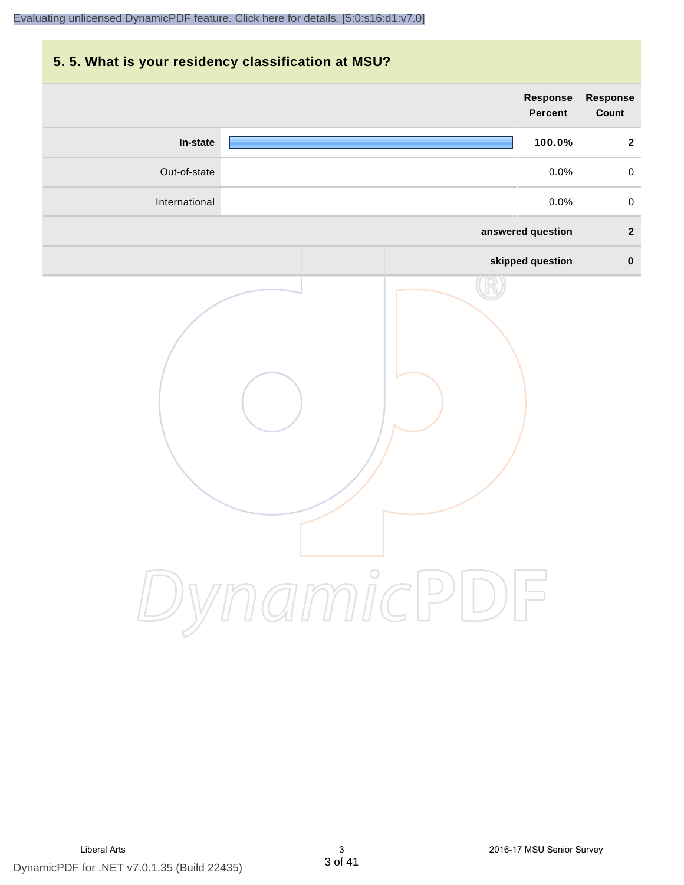# **5. 5. What is your residency classification at MSU?**

| Response<br>Count | Response<br>Percent |          |               |
|-------------------|---------------------|----------|---------------|
| $\mathbf 2$       | 100.0%              |          | In-state      |
| $\pmb{0}$         | 0.0%                |          | Out-of-state  |
| $\pmb{0}$         | 0.0%                |          | International |
| $\boldsymbol{2}$  | answered question   |          |               |
| $\pmb{0}$         | skipped question    |          |               |
|                   |                     | ynamicPD |               |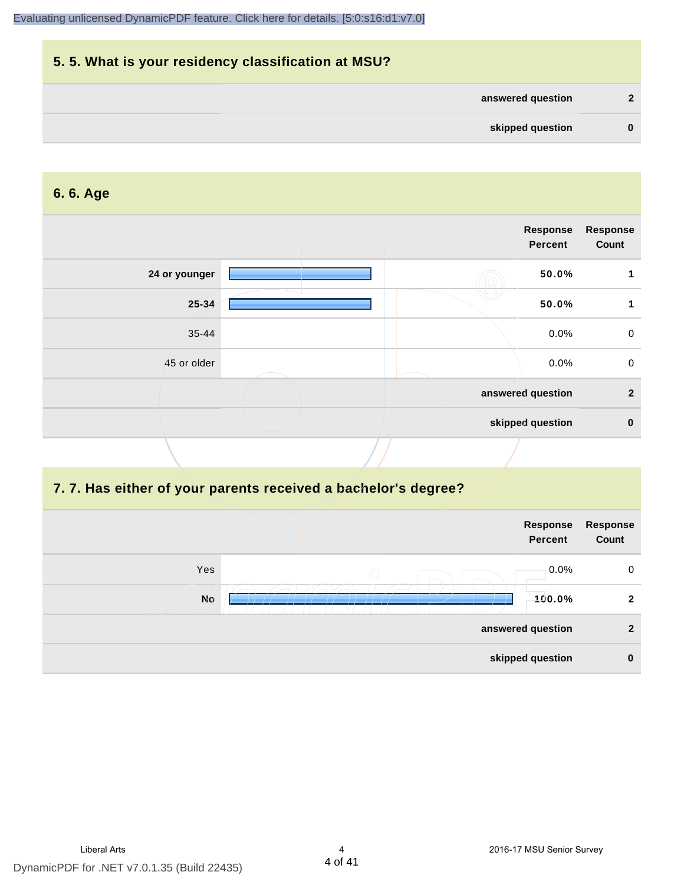# **5. 5. What is your residency classification at MSU? answered question 2 skipped question 0**

### **6. 6. Age**

|               | <b>Response</b><br><b>Percent</b> |       | <b>Response</b><br>Count |
|---------------|-----------------------------------|-------|--------------------------|
| 24 or younger |                                   | 50.0% | 1                        |
| 25-34         | 7 n n                             | 50.0% | 1                        |
| $35 - 44$     |                                   | 0.0%  | $\mathbf 0$              |
| 45 or older   |                                   | 0.0%  | $\mathbf 0$              |
|               | answered question                 |       | $\overline{2}$           |
|               | skipped question                  |       | $\mathbf 0$              |
|               |                                   |       |                          |

### **7. 7. Has either of your parents received a bachelor's degree?**

|           | Response<br><b>Percent</b> | Response<br>Count |
|-----------|----------------------------|-------------------|
| Yes       | $0.0\%$<br>$\bigcirc$      | $\mathbf 0$       |
| <b>No</b> | 100.0%                     | $\overline{2}$    |
|           | answered question          | $\mathbf{2}$      |
|           | skipped question           | $\mathbf 0$       |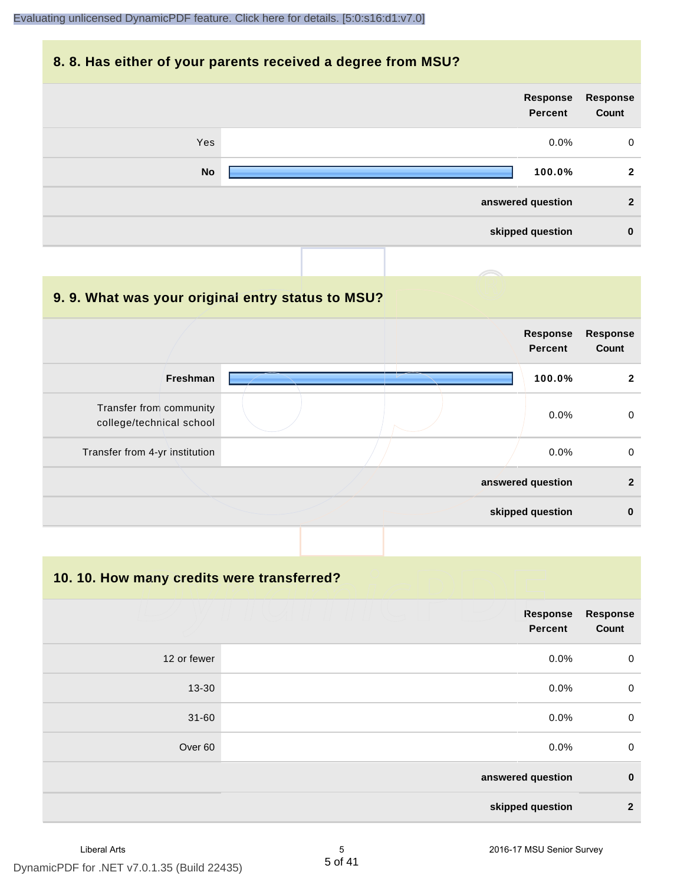#### **8. 8. Has either of your parents received a degree from MSU?**



#### **9. 9. What was your original entry status to MSU?**

|                                                     |  | <b>Response</b><br><b>Percent</b> | <b>Response</b><br>Count |
|-----------------------------------------------------|--|-----------------------------------|--------------------------|
| <b>Freshman</b>                                     |  | 100.0%                            | $\mathbf{2}$             |
| Transfer from community<br>college/technical school |  | 0.0%                              | $\Omega$                 |
| Transfer from 4-yr institution                      |  | 0.0%                              | $\Omega$                 |
|                                                     |  | answered question                 | $\mathfrak{p}$           |
|                                                     |  | skipped question                  | $\bf{0}$                 |

**10. 10. How many credits were transferred?**

|             | <b>Response</b><br><b>Percent</b> | Response<br>Count |
|-------------|-----------------------------------|-------------------|
| 12 or fewer | 0.0%                              | $\overline{0}$    |
| $13 - 30$   | 0.0%                              | $\overline{0}$    |
| $31 - 60$   | 0.0%                              | $\mathbf 0$       |
| Over 60     | 0.0%                              | $\overline{0}$    |
|             | answered question                 | $\mathbf 0$       |
|             | skipped question                  | $\mathbf{2}$      |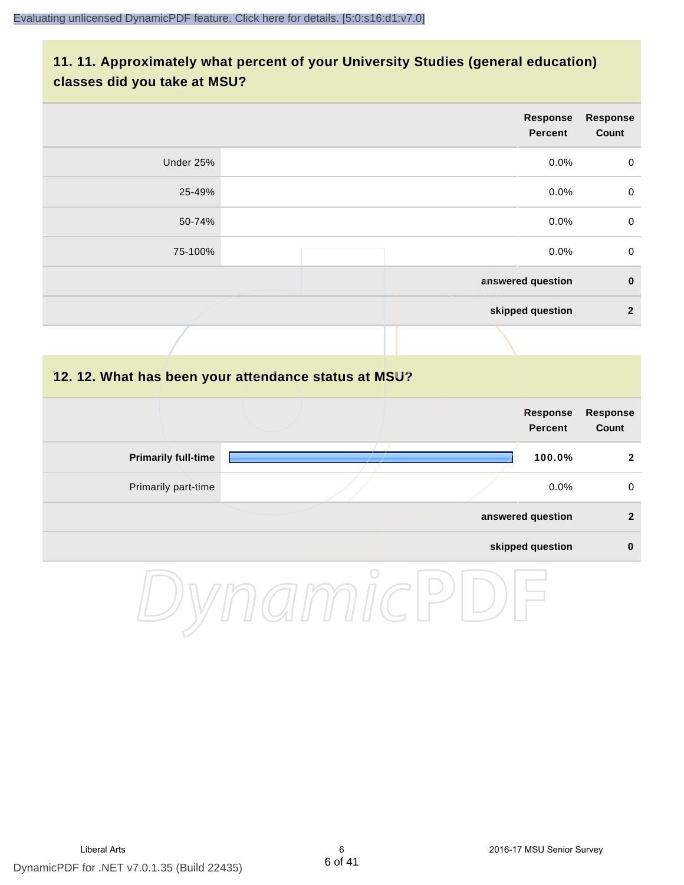## **11. 11. Approximately what percent of your University Studies (general education) classes did you take at MSU?**

| <b>Response</b><br>Count | <b>Response</b><br><b>Percent</b> |           |
|--------------------------|-----------------------------------|-----------|
| $\mathbf 0$              | 0.0%                              | Under 25% |
| $\mathbf 0$              | 0.0%                              | 25-49%    |
| $\mathbf 0$              | 0.0%                              | 50-74%    |
| $\mathbf 0$              | 0.0%                              | 75-100%   |
| $\mathbf 0$              | answered question                 |           |
| $\overline{2}$           | skipped question                  |           |
|                          |                                   |           |

#### **12. 12. What has been your attendance status at MSU?**

|                            | <b>Response</b><br><b>Percent</b> | <b>Response</b><br>Count |
|----------------------------|-----------------------------------|--------------------------|
| <b>Primarily full-time</b> | 100.0%                            | 2                        |
| Primarily part-time        | 0.0%                              | $\mathbf 0$              |
|                            | answered question                 | $\overline{2}$           |
|                            | skipped question                  | $\bf{0}$                 |

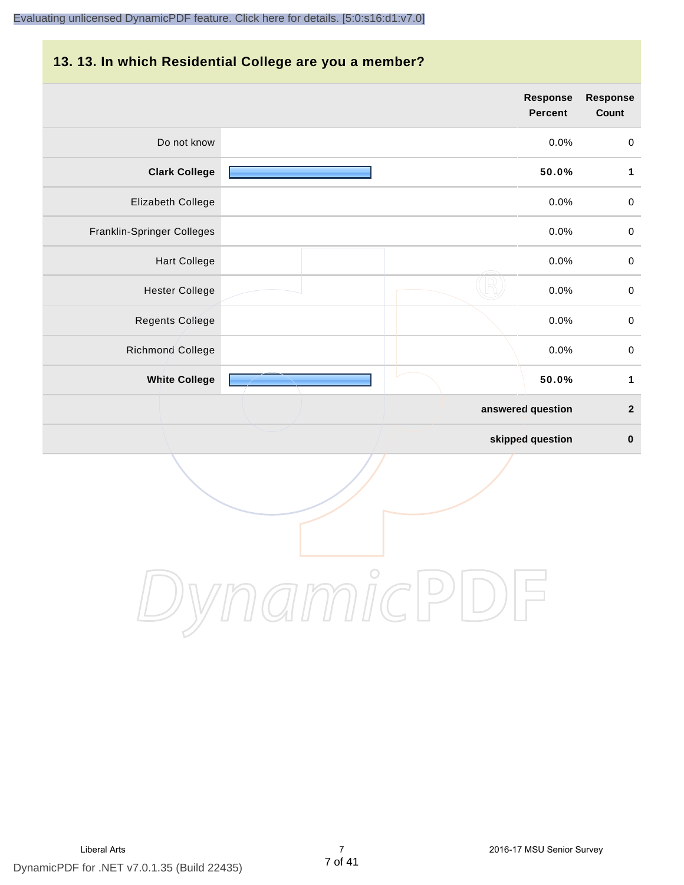#### **13. 13. In which Residential College are you a member?**

|                            | <b>Response</b><br><b>Percent</b> | <b>Response</b><br>Count |
|----------------------------|-----------------------------------|--------------------------|
| Do not know                | 0.0%                              | $\mathbf 0$              |
| <b>Clark College</b>       | 50.0%                             | $\mathbf{1}$             |
| Elizabeth College          | 0.0%                              | $\mathbf 0$              |
| Franklin-Springer Colleges | 0.0%                              | $\pmb{0}$                |
| <b>Hart College</b>        | 0.0%                              | $\pmb{0}$                |
| <b>Hester College</b>      | 0.0%                              | $\pmb{0}$                |
| <b>Regents College</b>     | 0.0%                              | $\pmb{0}$                |
| Richmond College           | 0.0%                              | $\pmb{0}$                |
| <b>White College</b>       | 50.0%                             | $\mathbf 1$              |
|                            | answered question                 | $\overline{2}$           |
|                            | skipped question                  | $\bf{0}$                 |

DynamicPDF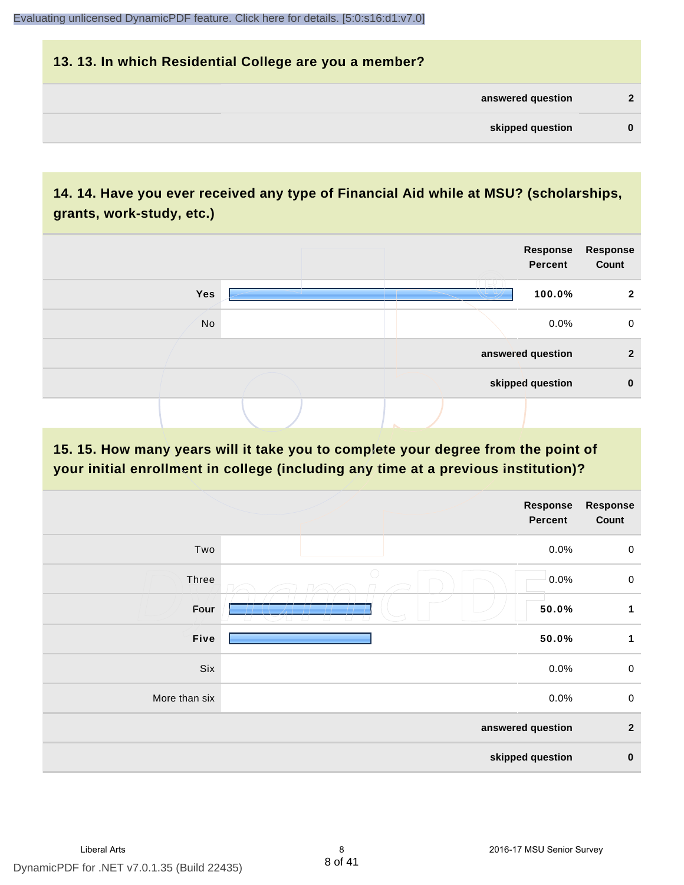# **13. 13. In which Residential College are you a member? answered question 2 skipped question 0**

## **14. 14. Have you ever received any type of Financial Aid while at MSU? (scholarships, grants, work-study, etc.)**



**15. 15. How many years will it take you to complete your degree from the point of your initial enrollment in college (including any time at a previous institution)?**

|               | Response<br><b>Percent</b> | <b>Response</b><br>Count |
|---------------|----------------------------|--------------------------|
| Two           | 0.0%                       | $\mathsf 0$              |
| Three         | 0.0%                       | $\mathsf 0$              |
| Four          | 50.0%                      | $\mathbf 1$              |
| Five          | 50.0%                      | $\mathbf 1$              |
| Six           | 0.0%                       | $\mathsf 0$              |
| More than six | 0.0%                       | $\mathsf 0$              |
|               | answered question          | $\overline{2}$           |
|               | skipped question           | $\pmb{0}$                |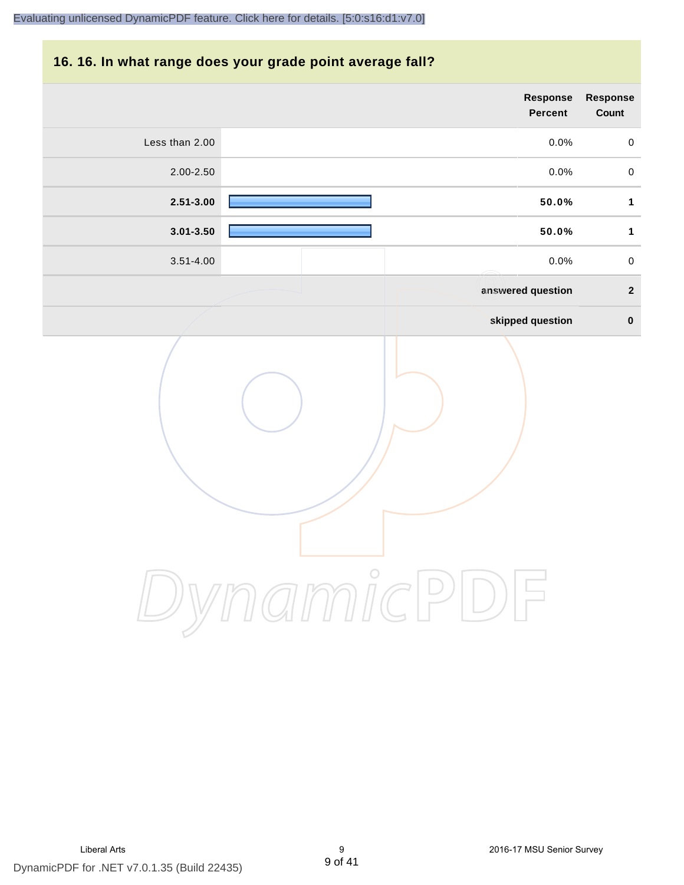# **16. 16. In what range does your grade point average fall?**

|                | Response<br>Percent | Response<br>Count |
|----------------|---------------------|-------------------|
| Less than 2.00 | 0.0%                | $\pmb{0}$         |
| 2.00-2.50      | 0.0%                | $\pmb{0}$         |
| $2.51 - 3.00$  | 50.0%               | $\mathbf{1}$      |
| $3.01 - 3.50$  | 50.0%               | $\mathbf{1}$      |
| $3.51 - 4.00$  | 0.0%                | $\pmb{0}$         |
|                | answered question   | $\overline{2}$    |
|                | skipped question    | $\pmb{0}$         |
|                | amicP               |                   |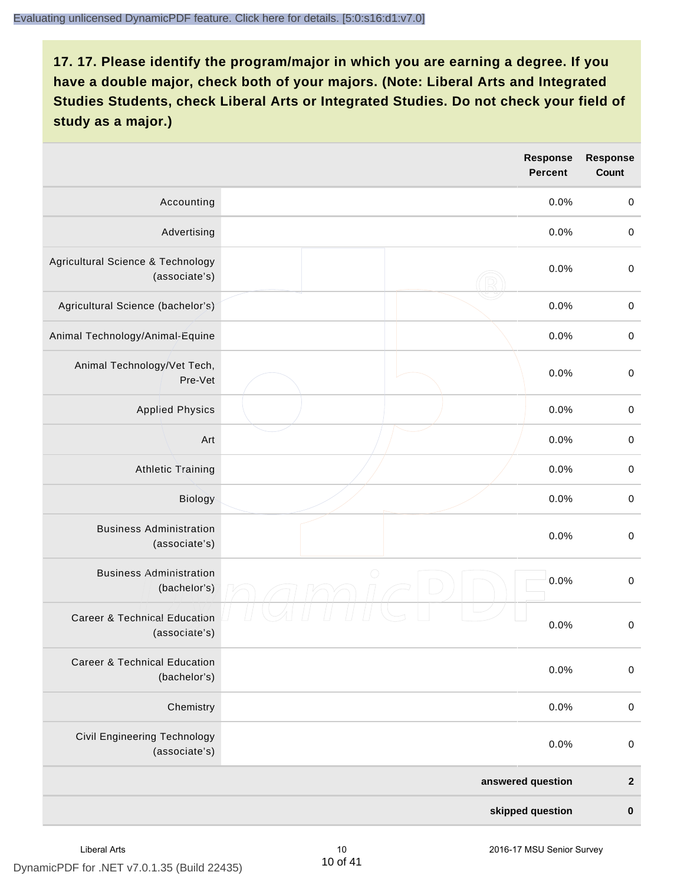|                                                          | <b>Response</b><br><b>Percent</b> | <b>Response</b><br>Count |
|----------------------------------------------------------|-----------------------------------|--------------------------|
| Accounting                                               | 0.0%                              | $\pmb{0}$                |
| Advertising                                              | 0.0%                              | $\boldsymbol{0}$         |
| Agricultural Science & Technology<br>(associate's)       | 0.0%                              | $\mathbf 0$              |
| Agricultural Science (bachelor's)                        | 0.0%                              | $\pmb{0}$                |
| Animal Technology/Animal-Equine                          | 0.0%                              | $\pmb{0}$                |
| Animal Technology/Vet Tech,<br>Pre-Vet                   | 0.0%                              | $\mathbf 0$              |
| <b>Applied Physics</b>                                   | 0.0%                              | $\pmb{0}$                |
| Art                                                      | 0.0%                              | $\pmb{0}$                |
| <b>Athletic Training</b>                                 | 0.0%                              | $\pmb{0}$                |
| Biology                                                  | 0.0%                              | $\boldsymbol{0}$         |
| <b>Business Administration</b><br>(associate's)          | 0.0%                              | $\boldsymbol{0}$         |
| <b>Business Administration</b><br>(bachelor's)           | $\bigcirc$<br>0.0%                | $\boldsymbol{0}$         |
| <b>Career &amp; Technical Education</b><br>(associate's) | 0.0%                              | $\boldsymbol{0}$         |
| <b>Career &amp; Technical Education</b><br>(bachelor's)  | 0.0%                              | $\mathbf 0$              |
| Chemistry                                                | 0.0%                              | $\pmb{0}$                |
| Civil Engineering Technology<br>(associate's)            | 0.0%                              | $\pmb{0}$                |
|                                                          | answered question                 | $\boldsymbol{2}$         |
|                                                          | skipped question                  | $\pmb{0}$                |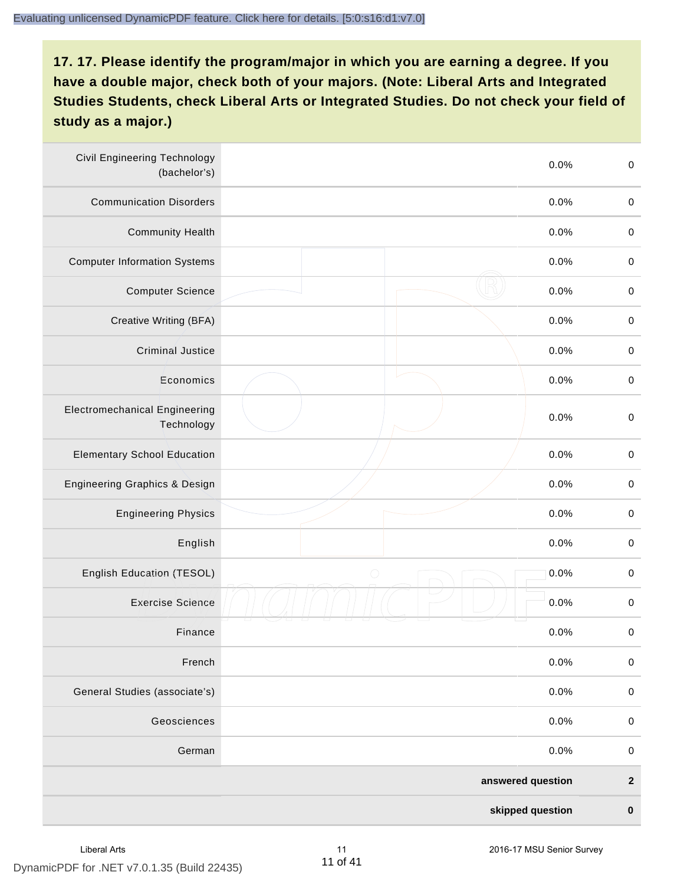| <b>Civil Engineering Technology</b><br>(bachelor's) | 0.0%               | $\boldsymbol{0}$ |
|-----------------------------------------------------|--------------------|------------------|
| <b>Communication Disorders</b>                      | 0.0%               | $\pmb{0}$        |
| <b>Community Health</b>                             | 0.0%               | $\boldsymbol{0}$ |
| <b>Computer Information Systems</b>                 | 0.0%               | $\boldsymbol{0}$ |
| <b>Computer Science</b>                             | 0.0%               | $\boldsymbol{0}$ |
| Creative Writing (BFA)                              | 0.0%               | $\boldsymbol{0}$ |
| <b>Criminal Justice</b>                             | 0.0%               | $\mathbf 0$      |
| Economics                                           | 0.0%               | $\mathbf 0$      |
| <b>Electromechanical Engineering</b><br>Technology  | 0.0%               | $\mathbf 0$      |
| <b>Elementary School Education</b>                  | 0.0%               | $\mathbf 0$      |
| Engineering Graphics & Design                       | 0.0%               | $\pmb{0}$        |
| <b>Engineering Physics</b>                          | 0.0%               | $\boldsymbol{0}$ |
| English                                             | 0.0%               | $\boldsymbol{0}$ |
| English Education (TESOL)                           | 0.0%<br>$\bigcirc$ | $\boldsymbol{0}$ |
| <b>Exercise Science</b>                             | 0.0%               | $\pmb{0}$        |
| Finance                                             | 0.0%               | $\boldsymbol{0}$ |
| French                                              | 0.0%               | $\mathbf 0$      |
| General Studies (associate's)                       | 0.0%               | $\pmb{0}$        |
| Geosciences                                         | 0.0%               | $\boldsymbol{0}$ |
| German                                              | 0.0%               | $\boldsymbol{0}$ |
|                                                     | answered question  | $\boldsymbol{2}$ |
|                                                     | skipped question   | $\pmb{0}$        |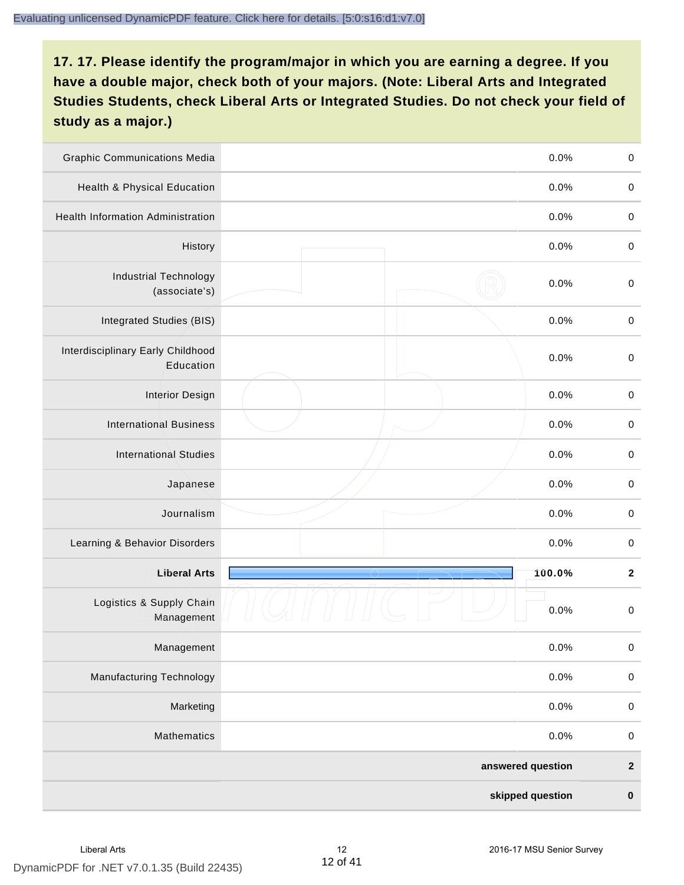| <b>Graphic Communications Media</b>            | 0.0%              | $\boldsymbol{0}$ |
|------------------------------------------------|-------------------|------------------|
| Health & Physical Education                    | 0.0%              | $\pmb{0}$        |
| <b>Health Information Administration</b>       | 0.0%              | $\pmb{0}$        |
| History                                        | 0.0%              | $\pmb{0}$        |
| <b>Industrial Technology</b><br>(associate's)  | 0.0%              | $\pmb{0}$        |
| Integrated Studies (BIS)                       | 0.0%              | $\boldsymbol{0}$ |
| Interdisciplinary Early Childhood<br>Education | 0.0%              | $\boldsymbol{0}$ |
| <b>Interior Design</b>                         | 0.0%              | $\boldsymbol{0}$ |
| <b>International Business</b>                  | 0.0%              | $\boldsymbol{0}$ |
| <b>International Studies</b>                   | 0.0%              | $\mathbf 0$      |
| Japanese                                       | 0.0%              | $\boldsymbol{0}$ |
| Journalism                                     | 0.0%              | $\boldsymbol{0}$ |
| Learning & Behavior Disorders                  | 0.0%              | $\boldsymbol{0}$ |
| <b>Liberal Arts</b>                            | 100.0%            | $\boldsymbol{2}$ |
| Logistics & Supply Chain<br>Management         | 0.0%              | $\boldsymbol{0}$ |
| Management                                     | 0.0%              | 0                |
| <b>Manufacturing Technology</b>                | 0.0%              | $\mathbf 0$      |
| Marketing                                      | 0.0%              | $\boldsymbol{0}$ |
| <b>Mathematics</b>                             | 0.0%              | $\pmb{0}$        |
|                                                | answered question | $\boldsymbol{2}$ |
|                                                | skipped question  | $\pmb{0}$        |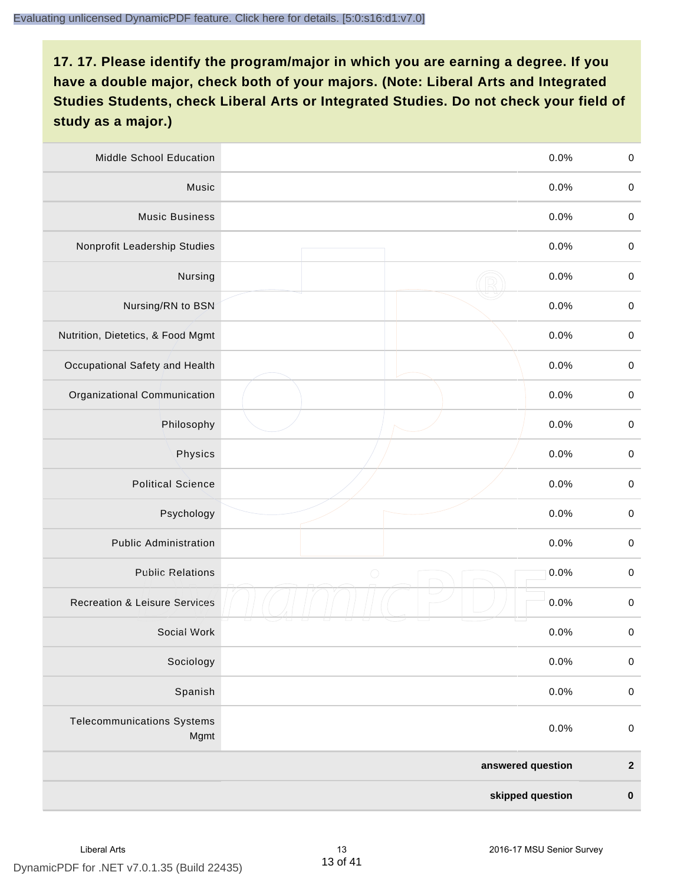| Middle School Education                   | 0.0%               | $\boldsymbol{0}$ |
|-------------------------------------------|--------------------|------------------|
| Music                                     | 0.0%               | $\pmb{0}$        |
| <b>Music Business</b>                     | 0.0%               | $\pmb{0}$        |
| Nonprofit Leadership Studies              | 0.0%               | $\pmb{0}$        |
| Nursing                                   | 0.0%               | $\boldsymbol{0}$ |
| Nursing/RN to BSN                         | 0.0%               | $\boldsymbol{0}$ |
| Nutrition, Dietetics, & Food Mgmt         | 0.0%               | $\boldsymbol{0}$ |
| Occupational Safety and Health            | 0.0%               | $\boldsymbol{0}$ |
| Organizational Communication              | 0.0%               | $\pmb{0}$        |
| Philosophy                                | 0.0%               | $\pmb{0}$        |
| Physics                                   | 0.0%               | $\boldsymbol{0}$ |
| <b>Political Science</b>                  | 0.0%               | $\boldsymbol{0}$ |
| Psychology                                | 0.0%               | $\boldsymbol{0}$ |
| <b>Public Administration</b>              | 0.0%               | $\boldsymbol{0}$ |
| <b>Public Relations</b>                   | $\bigcirc$<br>0.0% | $\boldsymbol{0}$ |
| <b>Recreation &amp; Leisure Services</b>  | 0.0%               | $\pmb{0}$        |
| Social Work                               | 0.0%               | $\pmb{0}$        |
| Sociology                                 | 0.0%               | $\boldsymbol{0}$ |
| Spanish                                   | 0.0%               | $\mathbf 0$      |
| <b>Telecommunications Systems</b><br>Mgmt | 0.0%               | $\boldsymbol{0}$ |
|                                           | answered question  | $\boldsymbol{2}$ |
|                                           | skipped question   | $\pmb{0}$        |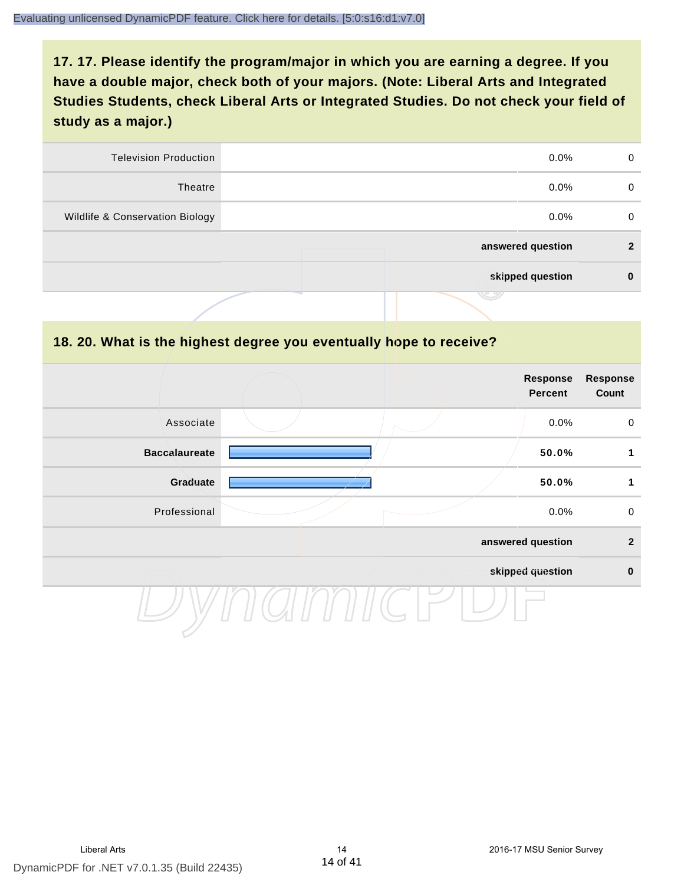| <b>Television Production</b>    | $0.0\%$           | $\Omega$       |
|---------------------------------|-------------------|----------------|
| Theatre                         | $0.0\%$           | 0              |
| Wildlife & Conservation Biology | $0.0\%$           | 0              |
|                                 | answered question | $\overline{2}$ |
|                                 | skipped question  | 0              |
|                                 | رىپ               |                |

#### **18. 20. What is the highest degree you eventually hope to receive?**

|                      |  | <b>Response</b><br>Percent | <b>Response</b><br>Count |
|----------------------|--|----------------------------|--------------------------|
| Associate            |  | 0.0%                       | $\mathbf 0$              |
| <b>Baccalaureate</b> |  | 50.0%                      | 1                        |
| Graduate             |  | 50.0%                      | 1                        |
| Professional         |  | 0.0%                       | $\mathsf 0$              |
|                      |  | answered question          | $\mathbf{2}$             |
|                      |  | skipped question           | $\pmb{0}$                |
|                      |  |                            |                          |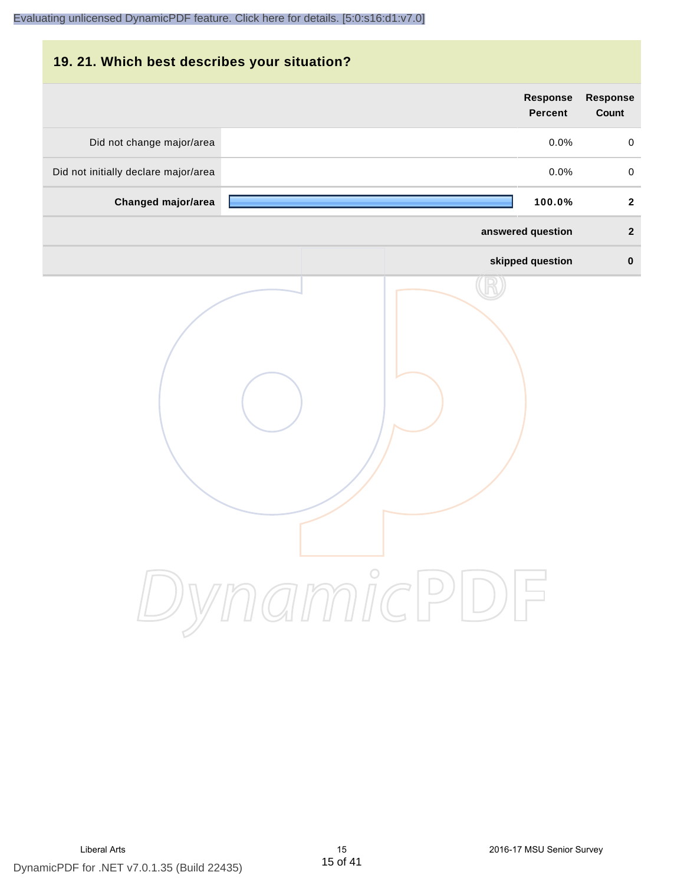# **19. 21. Which best describes your situation?**

|                                      | <b>Response</b><br><b>Percent</b> | Response<br>Count   |
|--------------------------------------|-----------------------------------|---------------------|
| Did not change major/area            | 0.0%                              | $\mathsf{O}\xspace$ |
| Did not initially declare major/area | 0.0%                              | $\mathsf 0$         |
| Changed major/area                   | 100.0%                            | $\mathbf{2}$        |
|                                      | answered question                 | $\mathbf{2}$        |
|                                      | skipped question                  | $\pmb{0}$           |
|                                      | ynamicPD                          |                     |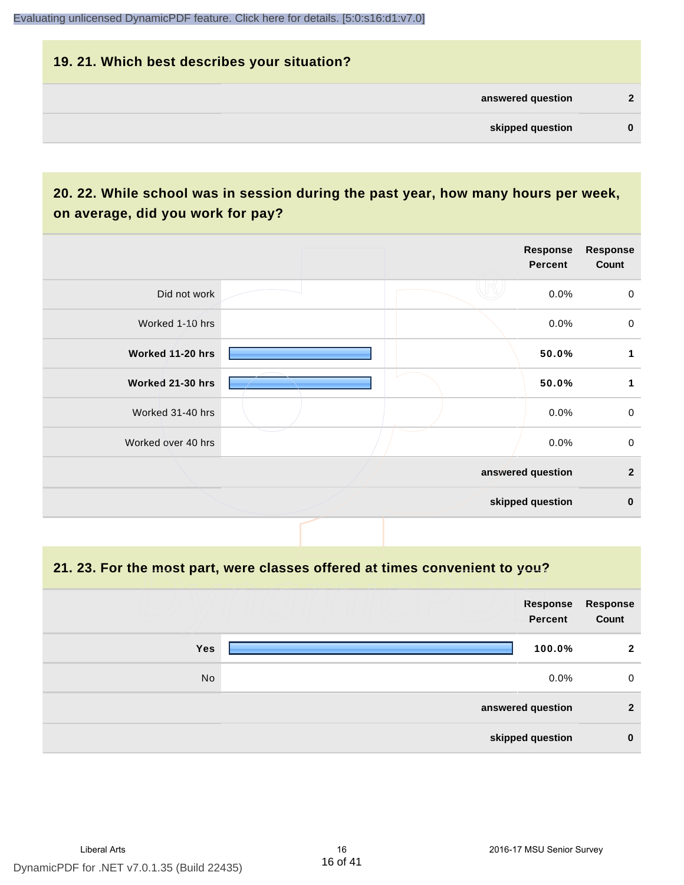#### **19. 21. Which best describes your situation?**

| C        | answered question |  |
|----------|-------------------|--|
| $\bf{0}$ | skipped question  |  |
|          |                   |  |

# **20. 22. While school was in session during the past year, how many hours per week, on average, did you work for pay?**

|                    |  | <b>Response</b><br>Percent | Response<br>Count |
|--------------------|--|----------------------------|-------------------|
| Did not work       |  | 0.0%                       | $\mathbf 0$       |
| Worked 1-10 hrs    |  | 0.0%                       | $\mathbf 0$       |
| Worked 11-20 hrs   |  | 50.0%                      | 1                 |
| Worked 21-30 hrs   |  | 50.0%                      | 1                 |
| Worked 31-40 hrs   |  | 0.0%                       | $\mathsf 0$       |
| Worked over 40 hrs |  | 0.0%                       | $\mathbf 0$       |
|                    |  | answered question          | $\overline{2}$    |
|                    |  | skipped question           | $\mathbf 0$       |

**21. 23. For the most part, were classes offered at times convenient to you?**

|            | <b>Response</b><br><b>Percent</b> | Response<br>Count |
|------------|-----------------------------------|-------------------|
| <b>Yes</b> | 100.0%                            | $\mathbf{2}$      |
| No         | $0.0\%$                           | 0                 |
|            | answered question                 | $\mathbf{2}$      |
|            | skipped question                  | $\bf{0}$          |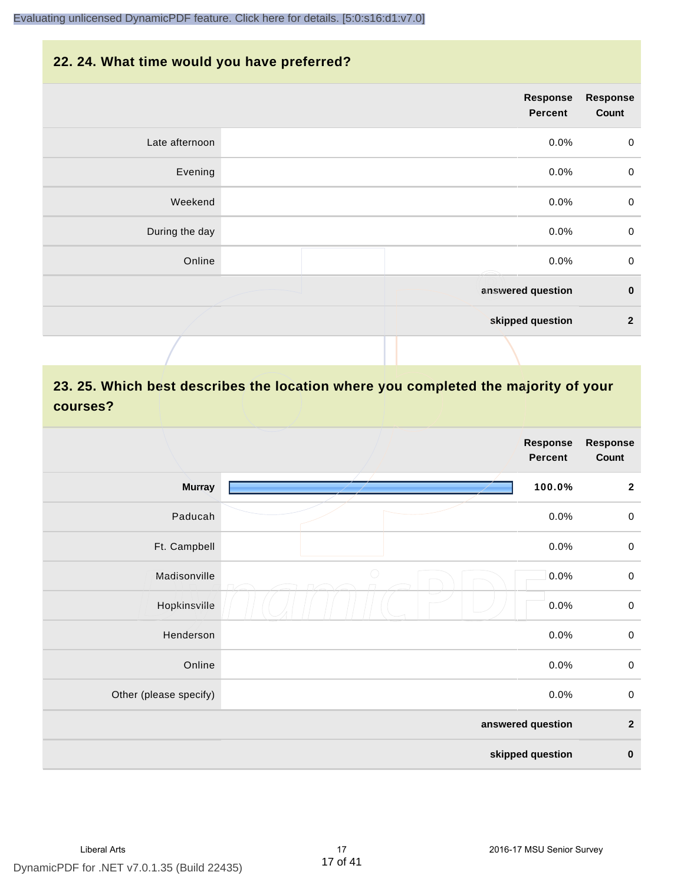### **22. 24. What time would you have preferred?**

|                | <b>Response</b><br>Percent | <b>Response</b><br>Count |
|----------------|----------------------------|--------------------------|
| Late afternoon | 0.0%                       | $\mathbf 0$              |
| Evening        | 0.0%                       | $\mathbf 0$              |
| Weekend        | $0.0\%$                    | $\mathbf 0$              |
| During the day | 0.0%                       | $\boldsymbol{0}$         |
| Online         | 0.0%<br>Æ                  | $\pmb{0}$                |
|                | answered question          | $\pmb{0}$                |
|                | skipped question           | $\mathbf 2$              |
|                |                            |                          |

# **23. 25. Which best describes the location where you completed the majority of your courses?**

|                        |            | <b>Response</b><br><b>Percent</b> | <b>Response</b><br>Count |
|------------------------|------------|-----------------------------------|--------------------------|
| <b>Murray</b>          |            | 100.0%                            | $\mathbf 2$              |
| Paducah                |            | 0.0%                              | $\boldsymbol{0}$         |
| Ft. Campbell           |            | 0.0%                              | $\boldsymbol{0}$         |
| Madisonville           | $\bigcirc$ | 0.0%                              | $\boldsymbol{0}$         |
| Hopkinsville           |            | 0.0%                              | $\boldsymbol{0}$         |
| Henderson              |            | 0.0%                              | $\mathbf 0$              |
| Online                 |            | 0.0%                              | $\boldsymbol{0}$         |
| Other (please specify) |            | 0.0%                              | $\boldsymbol{0}$         |
|                        |            | answered question                 | $\mathbf 2$              |
|                        |            | skipped question                  | $\pmb{0}$                |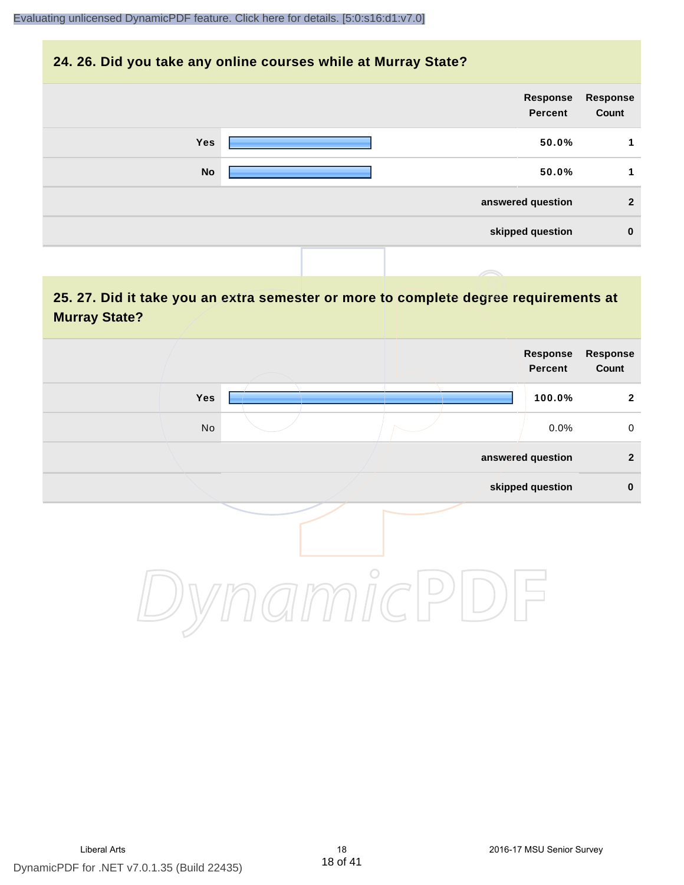#### **24. 26. Did you take any online courses while at Murray State?**

|            |  | Response<br><b>Percent</b> | Response<br>Count |
|------------|--|----------------------------|-------------------|
| <b>Yes</b> |  | 50.0%                      |                   |
| <b>No</b>  |  | 50.0%                      | 1                 |
|            |  | answered question          | 2                 |
|            |  | skipped question           | $\bf{0}$          |
|            |  |                            |                   |

## **25. 27. Did it take you an extra semester or more to complete degree requirements at Murray State?**

|               |         | Response<br>Percent | Response<br>Count |
|---------------|---------|---------------------|-------------------|
| Yes           |         | 100.0%              | $\mathbf{2}$      |
| $\mathsf{No}$ |         | 0.0%                | $\mathbf 0$       |
|               |         | answered question   | $\mathbf{2}$      |
|               |         | skipped question    | $\pmb{0}$         |
|               | $\circ$ |                     |                   |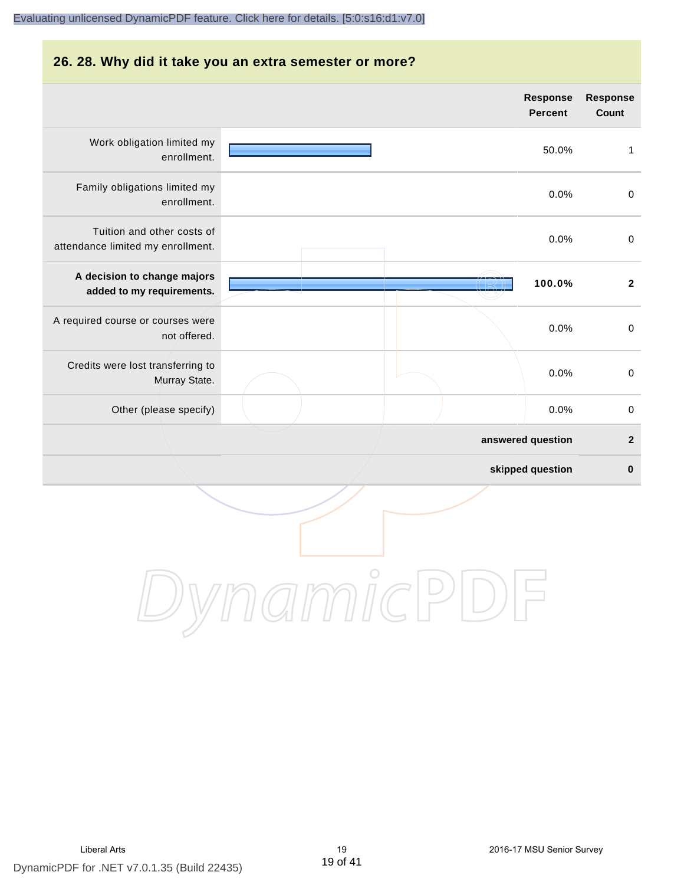#### **26. 28. Why did it take you an extra semester or more?**

|                                                                 |  | <b>Response</b><br><b>Percent</b> | <b>Response</b><br>Count |
|-----------------------------------------------------------------|--|-----------------------------------|--------------------------|
| Work obligation limited my<br>enrollment.                       |  | 50.0%                             | $\mathbf{1}$             |
| Family obligations limited my<br>enrollment.                    |  | 0.0%                              | $\boldsymbol{0}$         |
| Tuition and other costs of<br>attendance limited my enrollment. |  | 0.0%                              | $\pmb{0}$                |
| A decision to change majors<br>added to my requirements.        |  | 100.0%                            | $\boldsymbol{2}$         |
| A required course or courses were<br>not offered.               |  | 0.0%                              | $\pmb{0}$                |
| Credits were lost transferring to<br>Murray State.              |  | 0.0%                              | $\boldsymbol{0}$         |
| Other (please specify)                                          |  | 0.0%                              | $\boldsymbol{0}$         |
|                                                                 |  | answered question                 | $\mathbf 2$              |
|                                                                 |  | skipped question                  | $\bf{0}$                 |
|                                                                 |  |                                   |                          |

DynamicPDF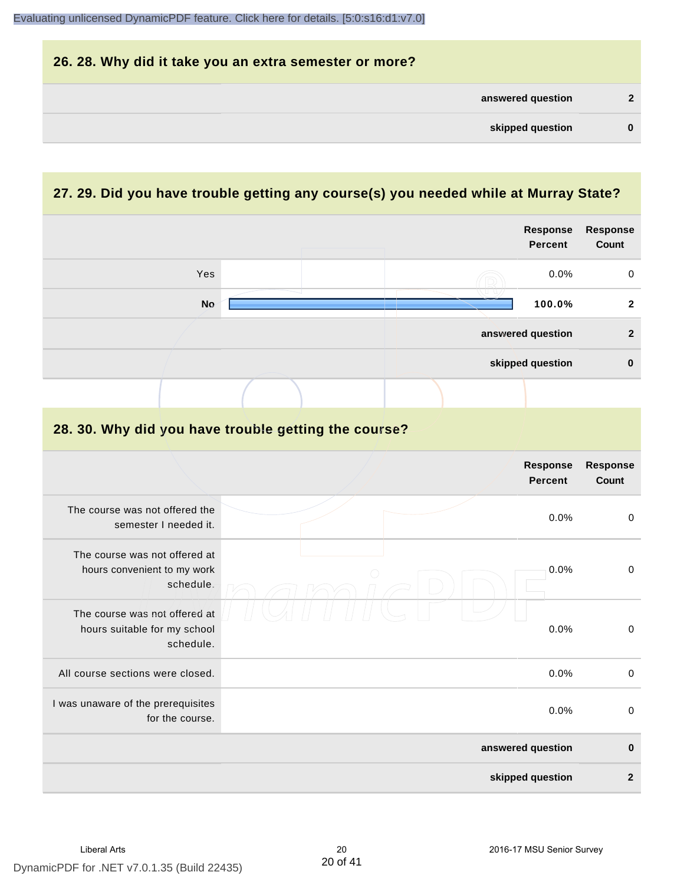|                   |   | 26. 28. Why did it take you an extra semester or more? |
|-------------------|---|--------------------------------------------------------|
| answered question |   |                                                        |
| skipped question  | 0 |                                                        |

# **27. 29. Did you have trouble getting any course(s) you needed while at Murray State?**

|                                                                            | <b>Response</b><br><b>Percent</b>                    | <b>Response</b><br>Count        |
|----------------------------------------------------------------------------|------------------------------------------------------|---------------------------------|
| Yes                                                                        | 0.0%                                                 | $\pmb{0}$                       |
| <b>No</b>                                                                  | 100.0%                                               | $\mathbf{2}$                    |
|                                                                            | answered question                                    | $\mathbf{2}$                    |
|                                                                            | skipped question                                     | $\pmb{0}$                       |
|                                                                            |                                                      |                                 |
|                                                                            | 28. 30. Why did you have trouble getting the course? |                                 |
|                                                                            | <b>Response</b><br><b>Percent</b>                    | <b>Response</b><br><b>Count</b> |
| The course was not offered the<br>semester I needed it.                    | 0.0%                                                 | $\mathbf 0$                     |
| The course was not offered at<br>hours convenient to my work<br>schedule.  | 0.0%                                                 | $\pmb{0}$                       |
| The course was not offered at<br>hours suitable for my school<br>schedule. | 0.0%                                                 | $\pmb{0}$                       |
| All course sections were closed.                                           | 0.0%                                                 | $\mathbf 0$                     |
| I was unaware of the prerequisites<br>for the course.                      | 0.0%                                                 | $\pmb{0}$                       |
|                                                                            | answered question                                    | $\mathbf 0$                     |
|                                                                            | skipped question                                     | $\overline{\mathbf{2}}$         |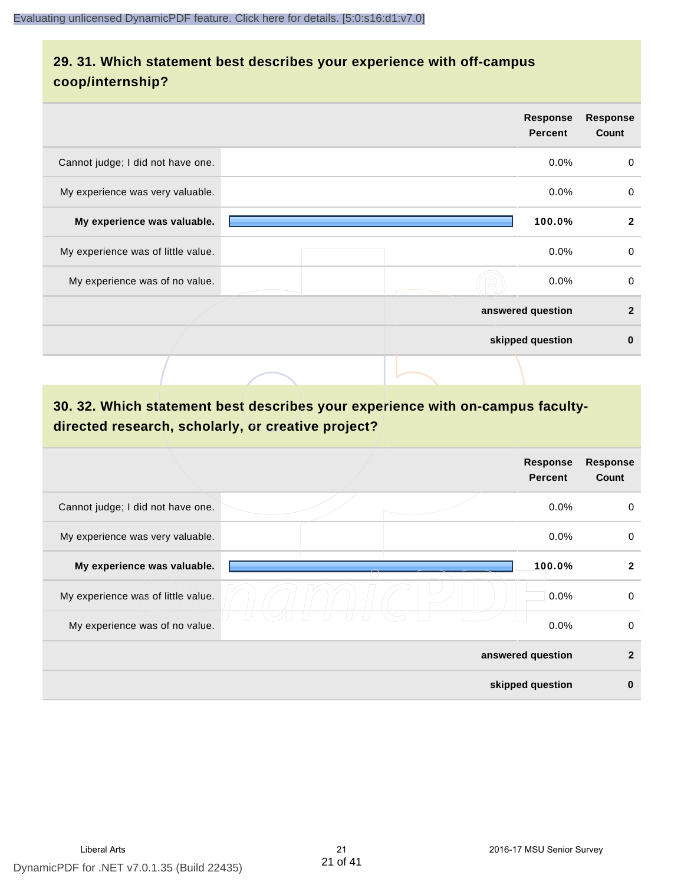## **29. 31. Which statement best describes your experience with off-campus coop/internship?**

|                                    | <b>Response</b><br><b>Percent</b> | <b>Response</b><br>Count |
|------------------------------------|-----------------------------------|--------------------------|
| Cannot judge; I did not have one.  | $0.0\%$                           | $\mathbf 0$              |
| My experience was very valuable.   | $0.0\%$                           | 0                        |
| My experience was valuable.        | 100.0%                            | $\mathbf{2}$             |
| My experience was of little value. | $0.0\%$                           | 0                        |
| My experience was of no value.     | $0.0\%$                           | 0                        |
|                                    | answered question                 | $\mathbf{2}$             |
|                                    | skipped question                  | $\bf{0}$                 |
|                                    |                                   |                          |

# **30. 32. Which statement best describes your experience with on-campus facultydirected research, scholarly, or creative project?**

|                                    | <b>Response</b><br><b>Percent</b> | <b>Response</b><br>Count |
|------------------------------------|-----------------------------------|--------------------------|
| Cannot judge; I did not have one.  | $0.0\%$                           | 0                        |
| My experience was very valuable.   | 0.0%                              | 0                        |
| My experience was valuable.        | 100.0%                            | $\mathbf{2}$             |
| My experience was of little value. | 0.0%                              | $\mathbf 0$              |
| My experience was of no value.     | 0.0%                              | 0                        |
|                                    | answered question                 | $\mathbf{2}$             |
|                                    | skipped question                  | $\bf{0}$                 |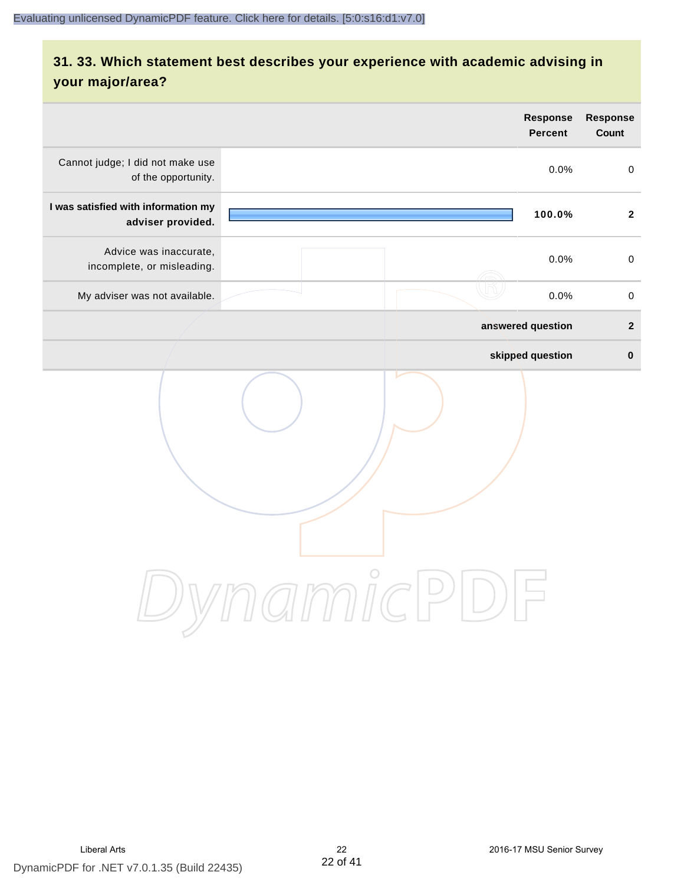# **31. 33. Which statement best describes your experience with academic advising in your major/area?**

| <b>Response</b><br><b>Percent</b> | <b>Response</b><br>Count |
|-----------------------------------|--------------------------|
| 0.0%                              | $\mathbf 0$              |
| 100.0%                            | $\overline{2}$           |
| 0.0%                              | $\mathbf 0$              |
| 0.0%                              | $\pmb{0}$                |
| answered question                 | $\mathbf{2}$             |
| skipped question                  | $\pmb{0}$                |
|                                   |                          |
|                                   | ammicPl                  |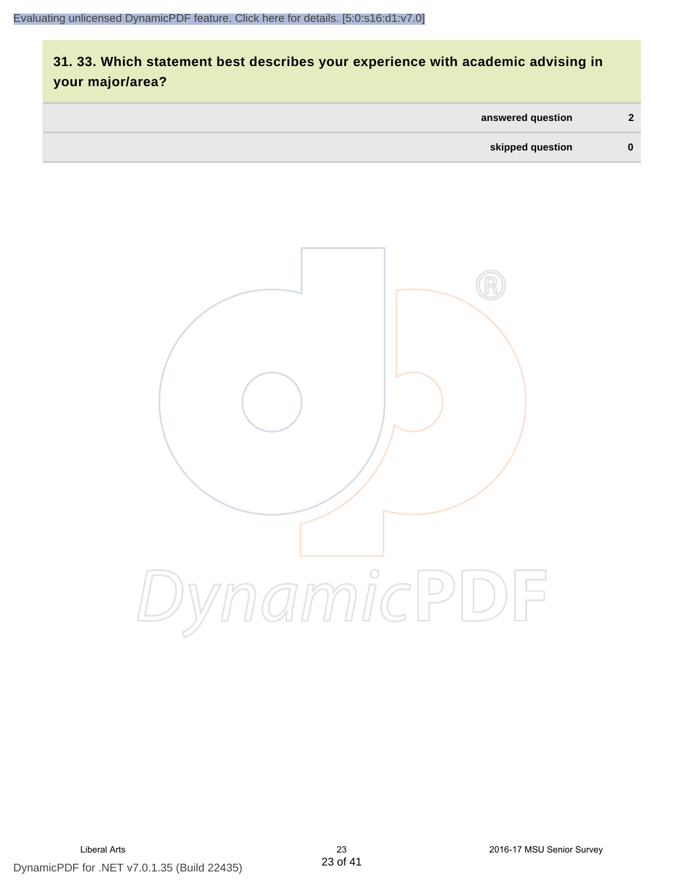# **31. 33. Which statement best describes your experience with academic advising in your major/area?**

| answered question | $\mathbf{c}$ |
|-------------------|--------------|
| skipped question  | $\bf{0}$     |

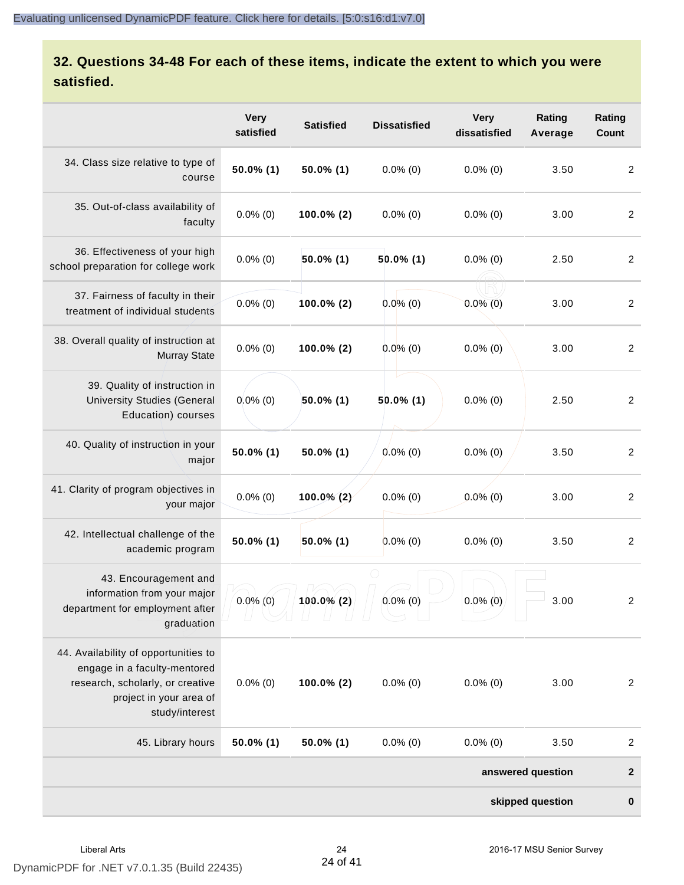# **32. Questions 34-48 For each of these items, indicate the extent to which you were satisfied.**

|                                                                                                                                                       | <b>Very</b><br>satisfied | <b>Satisfied</b> | <b>Dissatisfied</b> | <b>Very</b><br>dissatisfied | Rating<br>Average | Rating<br>Count  |
|-------------------------------------------------------------------------------------------------------------------------------------------------------|--------------------------|------------------|---------------------|-----------------------------|-------------------|------------------|
| 34. Class size relative to type of<br>course                                                                                                          | 50.0% (1)                | $50.0\%$ (1)     | $0.0\%$ (0)         | $0.0\%$ (0)                 | 3.50              | 2                |
| 35. Out-of-class availability of<br>faculty                                                                                                           | $0.0\%$ (0)              | 100.0% (2)       | $0.0\%$ (0)         | $0.0\%$ (0)                 | 3.00              | $\overline{2}$   |
| 36. Effectiveness of your high<br>school preparation for college work                                                                                 | $0.0\%$ (0)              | 50.0% (1)        | $50.0\%$ (1)        | $0.0\%$ (0)                 | 2.50              | $\overline{2}$   |
| 37. Fairness of faculty in their<br>treatment of individual students                                                                                  | $0.0\%$ (0)              | 100.0% (2)       | $0.0\%$ (0)         | $0.0\%$ (0)                 | 3.00              | $\overline{2}$   |
| 38. Overall quality of instruction at<br><b>Murray State</b>                                                                                          | $0.0\%$ (0)              | 100.0% (2)       | $0.0\%$ (0)         | $0.0\%$ (0)                 | 3.00              | $\overline{2}$   |
| 39. Quality of instruction in<br><b>University Studies (General</b><br>Education) courses                                                             | $0.0\%$ (0)              | 50.0% (1)        | 50.0% (1)           | $0.0\%$ (0)                 | 2.50              | $\overline{2}$   |
| 40. Quality of instruction in your<br>major                                                                                                           | 50.0% (1)                | $50.0\%$ (1)     | $0.0\%$ (0)         | $0.0\%$ (0)                 | 3.50              | $\overline{2}$   |
| 41. Clarity of program objectives in<br>your major                                                                                                    | $0.0\%$ (0)              | $100.0\%$ (2)    | $0.0\%$ (0)         | $0.0\%$ (0)                 | 3.00              | $\overline{2}$   |
| 42. Intellectual challenge of the<br>academic program                                                                                                 | 50.0% (1)                | $50.0\%$ (1)     | $0.0\%$ (0)         | $0.0\%$ (0)                 | 3.50              | $\overline{2}$   |
| 43. Encouragement and<br>information from your major<br>department for employment after<br>graduation                                                 | $0.0\%$ (0)              | $100.0\%$ (2)    | $0.0\%$ (0)         | $0.0\%$ (0)                 | 3.00              | $\overline{c}$   |
| 44. Availability of opportunities to<br>engage in a faculty-mentored<br>research, scholarly, or creative<br>project in your area of<br>study/interest | $0.0\%$ (0)              | 100.0% (2)       | $0.0\%$ (0)         | $0.0\%$ (0)                 | 3.00              | $\overline{2}$   |
| 45. Library hours                                                                                                                                     | $50.0\%$ (1)             | $50.0\%$ (1)     | $0.0\%$ (0)         | $0.0\%$ (0)                 | 3.50              | $\boldsymbol{2}$ |
|                                                                                                                                                       |                          |                  |                     |                             | answered question | $\boldsymbol{2}$ |
|                                                                                                                                                       |                          |                  |                     |                             | skipped question  | $\bf{0}$         |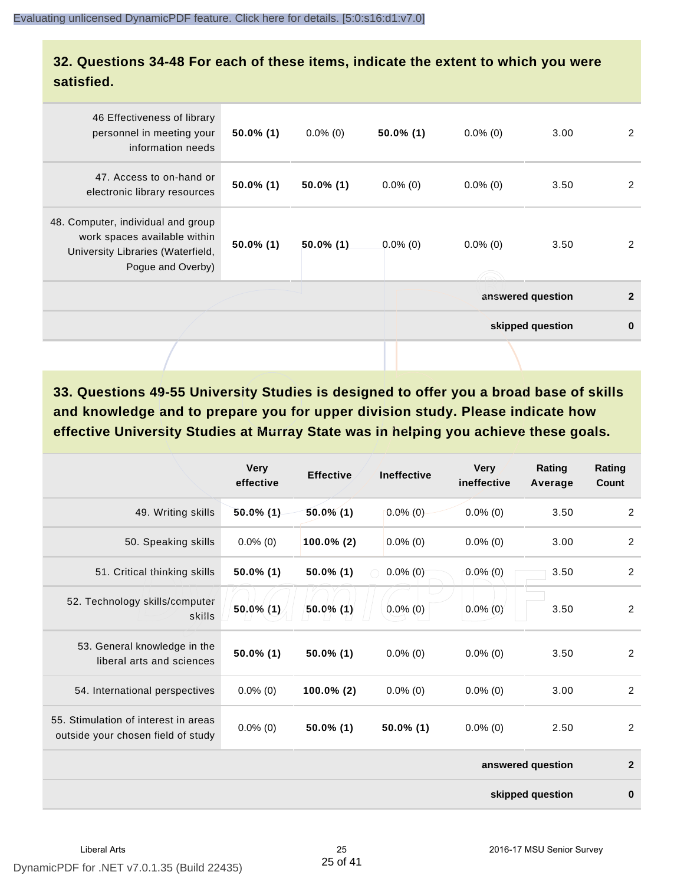## **32. Questions 34-48 For each of these items, indicate the extent to which you were satisfied.**

| 46 Effectiveness of library<br>personnel in meeting your<br>information needs                                                | $50.0\%$ (1) | $0.0\%$ (0)  | $50.0\%$ (1) | $0.0\%$ (0) | 3.00              | 2            |
|------------------------------------------------------------------------------------------------------------------------------|--------------|--------------|--------------|-------------|-------------------|--------------|
| 47. Access to on-hand or<br>electronic library resources                                                                     | $50.0\%$ (1) | $50.0\%$ (1) | $0.0\%$ (0)  | $0.0\%$ (0) | 3.50              | 2            |
| 48. Computer, individual and group<br>work spaces available within<br>University Libraries (Waterfield,<br>Pogue and Overby) | $50.0\%$ (1) | $50.0\%$ (1) | $0.0\%$ (0)  | $0.0\%$ (0) | 3.50              | 2            |
|                                                                                                                              |              |              |              |             | answered question | $\mathbf{2}$ |
|                                                                                                                              |              |              |              |             | skipped question  | $\bf{0}$     |
|                                                                                                                              |              |              |              |             |                   |              |

**33. Questions 49-55 University Studies is designed to offer you a broad base of skills and knowledge and to prepare you for upper division study. Please indicate how effective University Studies at Murray State was in helping you achieve these goals.**

|                                                                            | <b>Very</b><br>effective | <b>Effective</b> | <b>Ineffective</b> | <b>Very</b><br>ineffective | Rating<br>Average | Rating<br>Count |
|----------------------------------------------------------------------------|--------------------------|------------------|--------------------|----------------------------|-------------------|-----------------|
| 49. Writing skills                                                         | $50.0\%$ (1)             | $50.0\%$ (1)     | $0.0\%$ (0)        | $0.0\%$ (0)                | 3.50              | $\overline{2}$  |
| 50. Speaking skills                                                        | $0.0\%$ (0)              | $100.0\%$ (2)    | $0.0\%$ (0)        | $0.0\%$ (0)                | 3.00              | 2               |
| 51. Critical thinking skills                                               | $50.0\%$ (1)             | $50.0\%$ (1)     | $0.0\%$ (0)        | $0.0\%(0)$                 | 3.50              | $\overline{2}$  |
| 52. Technology skills/computer<br>skills                                   | 50.0% (1)                | $50.0\%$ (1)     | $0.0\%$ (0)        | $0.0\%$ (0)                | 3.50              | $\overline{2}$  |
| 53. General knowledge in the<br>liberal arts and sciences                  | $50.0\%$ (1)             | $50.0\%$ (1)     | $0.0\%$ (0)        | $0.0\%$ (0)                | 3.50              | 2               |
| 54. International perspectives                                             | $0.0\%$ (0)              | $100.0\%$ (2)    | $0.0\%$ (0)        | $0.0\%$ (0)                | 3.00              | $\overline{2}$  |
| 55. Stimulation of interest in areas<br>outside your chosen field of study | $0.0\%$ (0)              | $50.0\%$ (1)     | 50.0% (1)          | $0.0\%$ (0)                | 2.50              | 2               |
|                                                                            |                          |                  |                    |                            | answered question | $\overline{2}$  |
|                                                                            |                          |                  |                    |                            | skipped question  | $\bf{0}$        |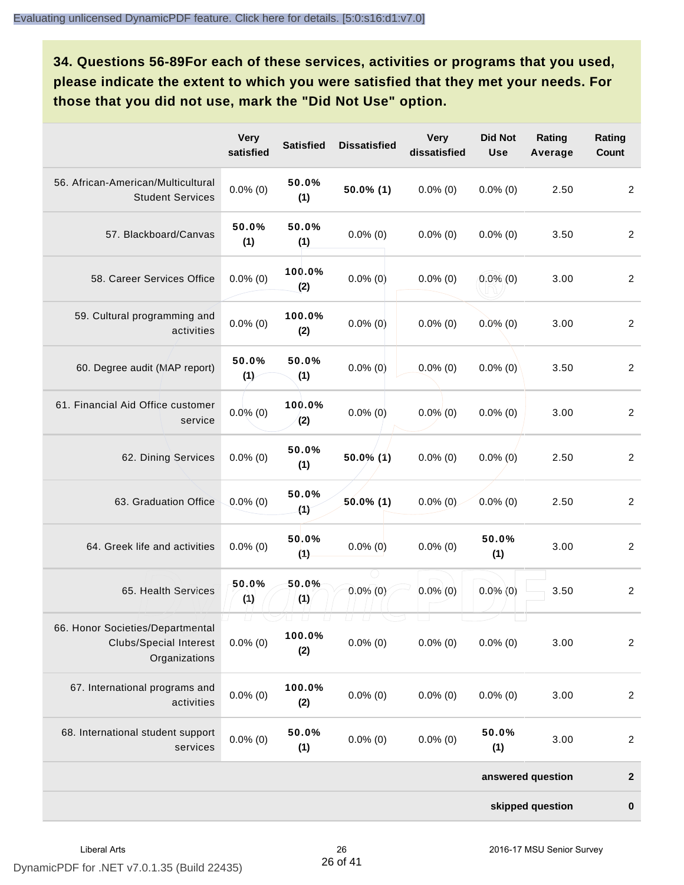**34. Questions 56-89For each of these services, activities or programs that you used, please indicate the extent to which you were satisfied that they met your needs. For those that you did not use, mark the "Did Not Use" option.**

|                                                                                    | <b>Very</b><br>satisfied | <b>Satisfied</b>                    | <b>Dissatisfied</b>          | <b>Very</b><br>dissatisfied | <b>Did Not</b><br><b>Use</b> | Rating<br>Average | Rating<br><b>Count</b> |
|------------------------------------------------------------------------------------|--------------------------|-------------------------------------|------------------------------|-----------------------------|------------------------------|-------------------|------------------------|
| 56. African-American/Multicultural<br><b>Student Services</b>                      | $0.0\%$ (0)              | 50.0%<br>(1)                        | $50.0\%$ (1)                 | $0.0\%$ (0)                 | $0.0\%$ (0)                  | 2.50              | $\overline{2}$         |
| 57. Blackboard/Canvas                                                              | 50.0%<br>(1)             | 50.0%<br>(1)                        | $0.0\%$ (0)                  | $0.0\%$ (0)                 | $0.0\%$ (0)                  | 3.50              | $\overline{2}$         |
| 58. Career Services Office                                                         | $0.0\%$ (0)              | 100.0%<br>(2)                       | $0.0\%$ (0)                  | $0.0\%$ (0)                 | $0.0\%$ (0)                  | 3.00              | $\overline{2}$         |
| 59. Cultural programming and<br>activities                                         | $0.0\%$ (0)              | 100.0%<br>(2)                       | $0.0\%$ (0)                  | $0.0\%$ (0)                 | $0.0\%$ (0)                  | 3.00              | $\overline{2}$         |
| 60. Degree audit (MAP report)                                                      | 50.0%<br>(1)             | 50.0%<br>(1)                        | $0.0\%$ (0)                  | $0.0\%$ (0)                 | $0.0\%$ (0)                  | 3.50              | $\overline{2}$         |
| 61. Financial Aid Office customer<br>service                                       | $0.0\%$ (0)              | 100.0%<br>(2)                       | $0.0\%$ (0)                  | $0.0\%$ (0)                 | $0.0\%$ (0)                  | 3.00              | $\overline{2}$         |
| 62. Dining Services                                                                | $0.0\%$ (0)              | 50.0%<br>(1)                        | $50.0\%$ (1)                 | $0.0\%$ (0)                 | $0.0\%$ (0)                  | 2.50              | $\overline{2}$         |
| 63. Graduation Office                                                              | $0.0\%$ (0)              | 50.0%<br>(4)                        | $50.0\%$ (1)                 | $0.0\%$ (0)                 | $0.0\%$ (0)                  | 2.50              | $\overline{2}$         |
| 64. Greek life and activities                                                      | $0.0\%$ (0)              | 50.0%<br>(1)                        | $0.0\%$ (0)                  | $0.0\%$ (0)                 | 50.0%<br>(1)                 | 3.00              | $\overline{2}$         |
| 65. Health Services                                                                | 50.0%<br>(1)             | 50.0%<br>(1)                        | $0.0\%$ (0)                  | $0.0\%$ (0)                 | $0.0\%$ (0)                  | 3.50              | $\overline{2}$         |
| 66. Honor Societies/Departmental<br><b>Clubs/Special Interest</b><br>Organizations | $\Box$<br>$0.0\%$ (0)    | $\Box$<br>$\sqcup$<br>100.0%<br>(2) | U.<br>$\perp$<br>$0.0\%$ (0) | $0.0\%$ (0)                 | $0.0\%$ (0)                  | 3.00              | $\boldsymbol{2}$       |
| 67. International programs and<br>activities                                       | $0.0\%$ (0)              | 100.0%<br>(2)                       | $0.0\%$ (0)                  | $0.0\%$ (0)                 | $0.0\%$ (0)                  | 3.00              | $\overline{2}$         |
| 68. International student support<br>services                                      | $0.0\%$ (0)              | 50.0%<br>(1)                        | $0.0\%$ (0)                  | $0.0\%$ (0)                 | 50.0%<br>(1)                 | 3.00              | $\overline{c}$         |
|                                                                                    |                          |                                     |                              |                             |                              | answered question | $\boldsymbol{2}$       |
|                                                                                    |                          |                                     |                              |                             |                              | skipped question  | $\mathbf 0$            |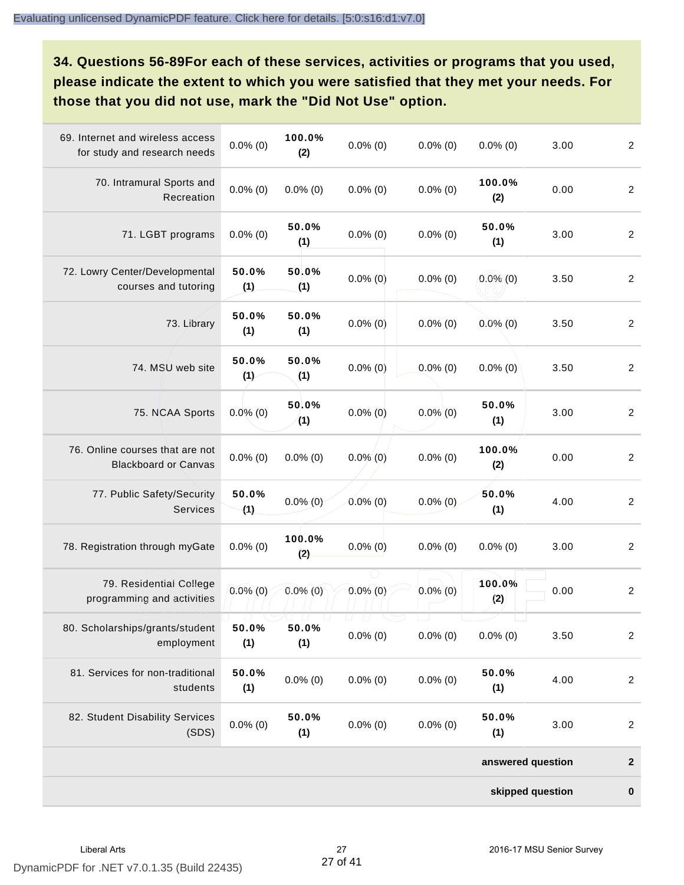**34. Questions 56-89For each of these services, activities or programs that you used, please indicate the extent to which you were satisfied that they met your needs. For those that you did not use, mark the "Did Not Use" option.**

| 69. Internet and wireless access<br>for study and research needs | $0.0\%$ (0)  | 100.0%<br>(2) | $0.0\%$ (0)                 | $0.0\%$ (0) | $0.0\%$ (0)       | 3.00 | $\overline{c}$   |
|------------------------------------------------------------------|--------------|---------------|-----------------------------|-------------|-------------------|------|------------------|
| 70. Intramural Sports and<br>Recreation                          | $0.0\%$ (0)  | $0.0\%$ (0)   | $0.0\%$ (0)                 | $0.0\%$ (0) | 100.0%<br>(2)     | 0.00 | $\overline{a}$   |
| 71. LGBT programs                                                | $0.0\%$ (0)  | 50.0%<br>(1)  | $0.0\%$ (0)                 | $0.0\%$ (0) | 50.0%<br>(1)      | 3.00 | $\overline{2}$   |
| 72. Lowry Center/Developmental<br>courses and tutoring           | 50.0%<br>(1) | 50.0%<br>(1)  | $0.0\%$ (0)                 | $0.0\%$ (0) | $0.0\%$ (0)       | 3.50 | $\overline{2}$   |
| 73. Library                                                      | 50.0%<br>(1) | 50.0%<br>(1)  | $0.0\%$ (0)                 | $0.0\%$ (0) | $0.0\%$ (0)       | 3.50 | $\overline{a}$   |
| 74. MSU web site                                                 | 50.0%<br>(1) | 50.0%<br>(1)  | $0.0\%$ (0)                 | $0.0\%$ (0) | $0.0\%$ (0)       | 3.50 | $\overline{c}$   |
| 75. NCAA Sports                                                  | $0.0\%$ (0)  | 50.0%<br>(1)  | $0.0\%$ (0)                 | $0.0\%$ (0) | 50.0%<br>(1)      | 3.00 | $\overline{2}$   |
| 76. Online courses that are not<br><b>Blackboard or Canvas</b>   | $0.0\%$ (0)  | $0.0\%$ (0)   | $0.0\%$ (0)                 | $0.0\%$ (0) | 100.0%<br>(2)     | 0.00 | $\overline{a}$   |
| 77. Public Safety/Security<br>Services                           | 50.0%<br>(1) | $0.0\%$ (0)   | $0.0\%$ (0)                 | $0.0\%$ (0) | 50.0%<br>(1)      | 4.00 | $\overline{c}$   |
| 78. Registration through myGate                                  | $0.0\%$ (0)  | 100.0%<br>(2) | $0.0\%$ (0)                 | $0.0\%$ (0) | $0.0\%$ (0)       | 3.00 | $\overline{c}$   |
| 79. Residential College<br>programming and activities            | $0.0\%$ (0)  | $0.0\%$ (0)   | $0.0\%$ (0)                 | $0.0\%$ (0) | 100.0%<br>(2)     | 0.00 | $\overline{a}$   |
| 80. Scholarships/grants/student<br>employment                    | 50.0%<br>(1) | 50.0%<br>(1)  | U.<br>$\Box$<br>$0.0\%$ (0) | $0.0\%$ (0) | $0.0\%$ (0)       | 3.50 | $\overline{c}$   |
| 81. Services for non-traditional<br>students                     | 50.0%<br>(1) | $0.0\%$ (0)   | $0.0\%$ (0)                 | $0.0\%$ (0) | 50.0%<br>(1)      | 4.00 | $\overline{a}$   |
| 82. Student Disability Services<br>(SDS)                         | $0.0\%$ (0)  | 50.0%<br>(1)  | $0.0\%$ (0)                 | $0.0\%$ (0) | 50.0%<br>(1)      | 3.00 | $\overline{a}$   |
|                                                                  |              |               |                             |             | answered question |      | $\boldsymbol{2}$ |
|                                                                  |              |               |                             |             | skipped question  |      | $\mathbf 0$      |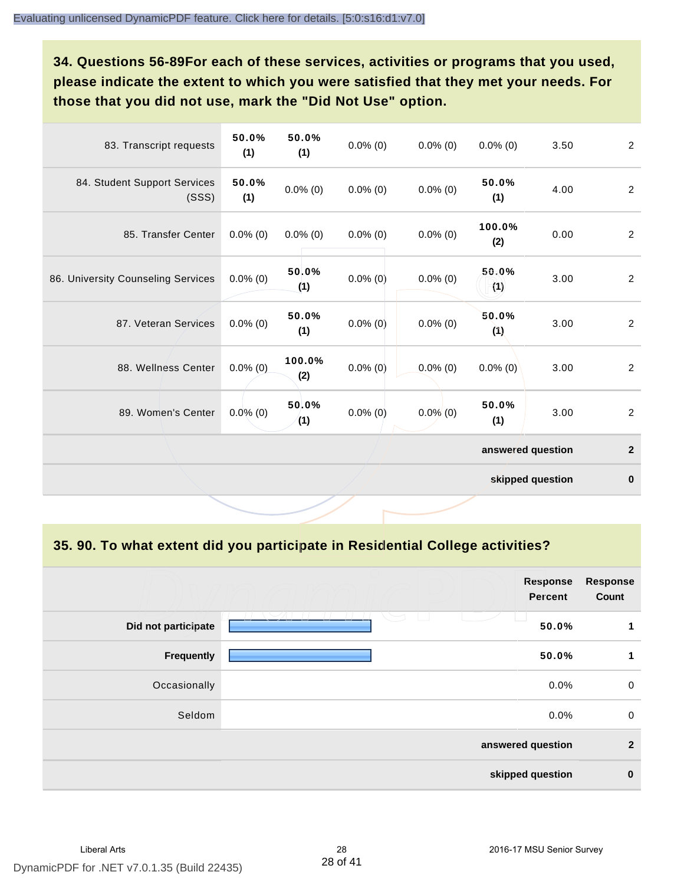**34. Questions 56-89For each of these services, activities or programs that you used, please indicate the extent to which you were satisfied that they met your needs. For those that you did not use, mark the "Did Not Use" option.**

| 83. Transcript requests               | 50.0%<br>(1) | 50.0%<br>(1)  | $0.0\%$ (0) | $0.0\%$ (0) | $0.0\%$ (0)       | 3.50             | $\overline{2}$ |
|---------------------------------------|--------------|---------------|-------------|-------------|-------------------|------------------|----------------|
| 84. Student Support Services<br>(SSS) | 50.0%<br>(1) | $0.0\%$ (0)   | $0.0\%$ (0) | $0.0\%$ (0) | 50.0%<br>(1)      | 4.00             | 2              |
| 85. Transfer Center                   | $0.0\%$ (0)  | $0.0\%$ (0)   | $0.0\%$ (0) | $0.0\%$ (0) | 100.0%<br>(2)     | 0.00             | $\overline{2}$ |
| 86. University Counseling Services    | $0.0\%$ (0)  | 50.0%<br>(1)  | $0.0\%$ (0) | $0.0\%$ (0) | 50.0%<br>(1)      | 3.00             | $\overline{c}$ |
| 87. Veteran Services                  | $0.0\%$ (0)  | 50.0%<br>(1)  | $0.0\%$ (0) | $0.0\%$ (0) | 50.0%<br>(1)      | 3.00             | $\overline{2}$ |
| 88. Wellness Center                   | $0.0\%$ (0)  | 100.0%<br>(2) | $0.0\%$ (0) | $0.0\%$ (0) | $0.0\%$ (0)       | 3.00             | $\overline{2}$ |
| 89. Women's Center                    | $0.0\%$ (0)  | 50.0%<br>(1)  | $0.0\%$ (0) | $0.0\%$ (0) | 50.0%<br>(1)      | 3.00             | $\overline{2}$ |
|                                       |              |               |             |             | answered question |                  | $\mathbf{2}$   |
|                                       |              |               |             |             |                   | skipped question | $\pmb{0}$      |

**35. 90. To what extent did you participate in Residential College activities?**

|                     | <b>Response</b><br><b>Percent</b> | <b>Response</b><br>Count |
|---------------------|-----------------------------------|--------------------------|
| Did not participate | 50.0%                             | 1                        |
| Frequently          | 50.0%                             | 1                        |
| Occasionally        | 0.0%                              | $\mathbf 0$              |
| Seldom              | 0.0%                              | $\mathbf 0$              |
|                     | answered question                 | $\overline{2}$           |
|                     | skipped question                  | $\bf{0}$                 |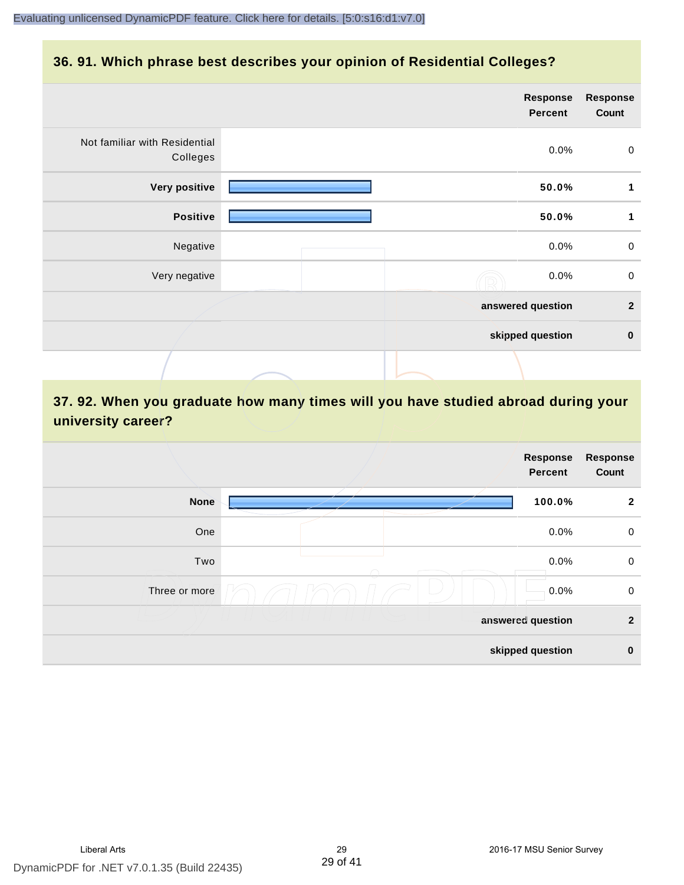### **36. 91. Which phrase best describes your opinion of Residential Colleges?**

|                                           | Response<br><b>Percent</b> | <b>Response</b><br>Count |
|-------------------------------------------|----------------------------|--------------------------|
| Not familiar with Residential<br>Colleges | 0.0%                       | $\pmb{0}$                |
| Very positive                             | 50.0%                      | 1                        |
| <b>Positive</b>                           | 50.0%                      | 1                        |
| Negative                                  | 0.0%                       | $\pmb{0}$                |
| Very negative                             | 0.0%                       | $\pmb{0}$                |
|                                           | answered question          | $\overline{2}$           |
|                                           | skipped question           | $\bf{0}$                 |
|                                           |                            |                          |

# **37. 92. When you graduate how many times will you have studied abroad during your university career?**

| <b>Response</b><br>Count | Response<br><b>Percent</b> |               |
|--------------------------|----------------------------|---------------|
| $\overline{2}$           | 100.0%                     | <b>None</b>   |
| $\mathbf 0$              | 0.0%                       | One           |
| $\mathbf 0$              | 0.0%                       | Two           |
| $\mathbf 0$              | 0.0%                       | Three or more |
| $\overline{2}$           | answered question          |               |
| $\mathbf 0$              | skipped question           |               |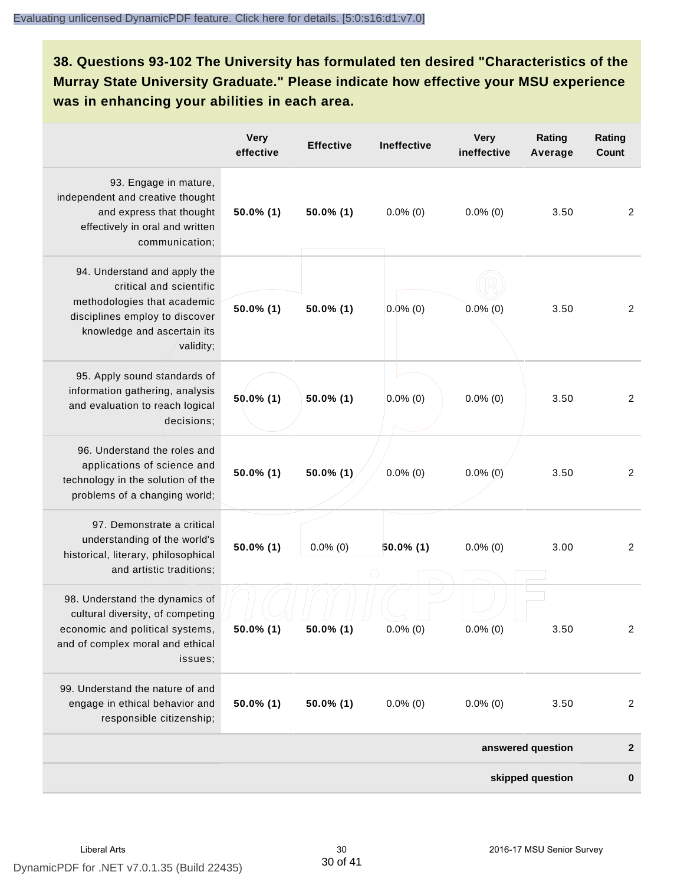**38. Questions 93-102 The University has formulated ten desired "Characteristics of the Murray State University Graduate." Please indicate how effective your MSU experience was in enhancing your abilities in each area.**

|                                                                                                                                                                      | <b>Very</b><br>effective | <b>Effective</b> | <b>Ineffective</b> | <b>Very</b><br>ineffective | Rating<br>Average | Rating<br><b>Count</b> |
|----------------------------------------------------------------------------------------------------------------------------------------------------------------------|--------------------------|------------------|--------------------|----------------------------|-------------------|------------------------|
| 93. Engage in mature,<br>independent and creative thought<br>and express that thought<br>effectively in oral and written<br>communication;                           | $50.0\%$ (1)             | $50.0\%$ (1)     | $0.0\%$ (0)        | $0.0\%$ (0)                | 3.50              | 2                      |
| 94. Understand and apply the<br>critical and scientific<br>methodologies that academic<br>disciplines employ to discover<br>knowledge and ascertain its<br>validity; | 50.0% (1)                | 50.0% (1)        | $0.0\%$ (0)        | $0.0\%$ (0)                | 3.50              | 2                      |
| 95. Apply sound standards of<br>information gathering, analysis<br>and evaluation to reach logical<br>decisions;                                                     | $50.0\%$ (1)             | $50.0\%$ (1)     | $0.0\%$ (0)        | $0.0\%$ (0)                | 3.50              | 2                      |
| 96. Understand the roles and<br>applications of science and<br>technology in the solution of the<br>problems of a changing world;                                    | 50.0% (1)                | 50.0% (1)        | $0.0\%$ (0)        | $0.0\%$ (0)                | 3.50              | 2                      |
| 97. Demonstrate a critical<br>understanding of the world's<br>historical, literary, philosophical<br>and artistic traditions;                                        | $50.0\%$ (1)             | $0.0\%$ (0)      | $50.0\%$ (1)       | $0.0\%$ (0)                | 3.00              | 2                      |
| 98. Understand the dynamics of<br>cultural diversity, of competing<br>economic and political systems,<br>and of complex moral and ethical<br>issues;                 | $50.0\%$ (1)             | $50.0\%$ (1)     | $0.0\%$ (0)        | $0.0\%$ (0)                | 3.50              | $\overline{2}$         |
| 99. Understand the nature of and<br>engage in ethical behavior and<br>responsible citizenship;                                                                       | $50.0\%$ (1)             | $50.0\%$ (1)     | $0.0\%$ (0)        | $0.0\%$ (0)                | 3.50              | $\overline{2}$         |
|                                                                                                                                                                      |                          |                  |                    |                            | answered question | $\mathbf{2}$           |
|                                                                                                                                                                      |                          |                  |                    |                            | skipped question  | $\bf{0}$               |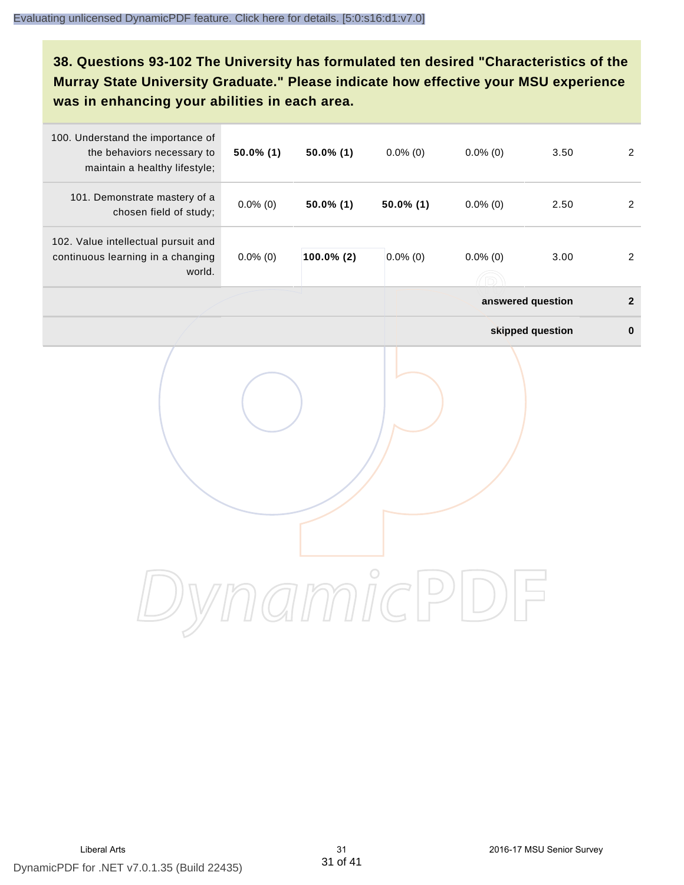**38. Questions 93-102 The University has formulated ten desired "Characteristics of the Murray State University Graduate." Please indicate how effective your MSU experience was in enhancing your abilities in each area.**

| 100. Understand the importance of<br>the behaviors necessary to<br>maintain a healthy lifestyle; | $50.0\%$ (1) | $50.0\%$ (1) | $0.0\%$ (0)  | $0.0\%$ (0)                             | 3.50             | $\overline{2}$ |
|--------------------------------------------------------------------------------------------------|--------------|--------------|--------------|-----------------------------------------|------------------|----------------|
| 101. Demonstrate mastery of a<br>chosen field of study;                                          | $0.0\%$ (0)  | $50.0\%$ (1) | $50.0\%$ (1) | $0.0\%$ (0)                             | 2.50             | $\overline{2}$ |
| 102. Value intellectual pursuit and<br>continuous learning in a changing<br>world.               | $0.0\%$ (0)  | 100.0% (2)   | $0.0\%$ (0)  | $0.0\%$ (0)<br>$(\widehat{\mathbb{D}})$ | 3.00             | $\overline{2}$ |
|                                                                                                  |              |              |              | answered question                       |                  | $\mathbf{2}$   |
|                                                                                                  |              |              |              |                                         | skipped question | $\pmb{0}$      |
|                                                                                                  |              |              |              |                                         |                  |                |
|                                                                                                  |              |              |              |                                         |                  |                |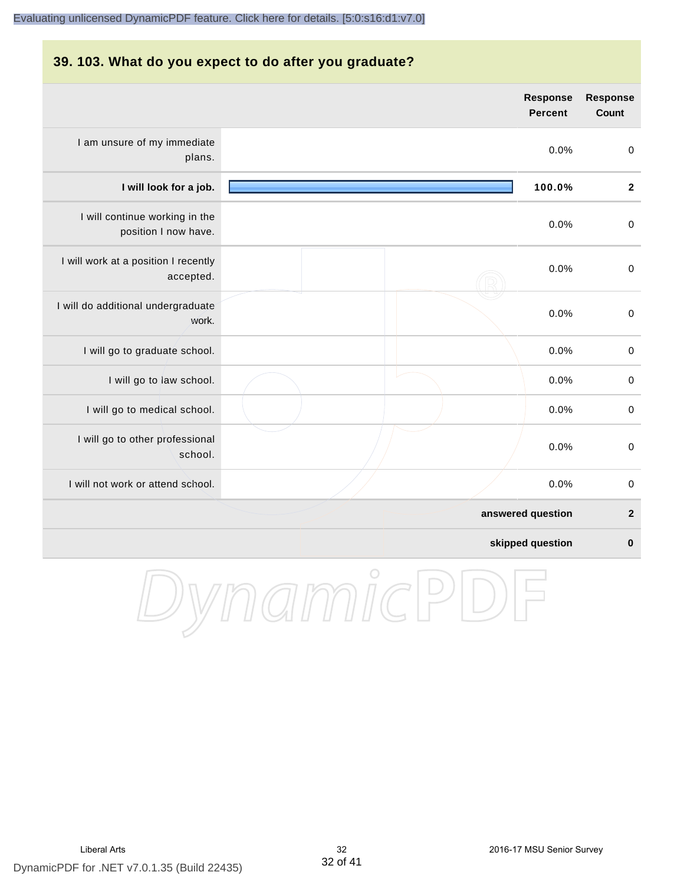#### **39. 103. What do you expect to do after you graduate?**

|                                                        | <b>Response</b><br><b>Percent</b> | <b>Response</b><br>Count |
|--------------------------------------------------------|-----------------------------------|--------------------------|
| I am unsure of my immediate<br>plans.                  | 0.0%                              | $\pmb{0}$                |
| I will look for a job.                                 | 100.0%                            | $\overline{2}$           |
| I will continue working in the<br>position I now have. | 0.0%                              | $\mathbf 0$              |
| I will work at a position I recently<br>accepted.      | 0.0%                              | $\pmb{0}$                |
| I will do additional undergraduate<br>work.            | 0.0%                              | $\mathbf 0$              |
| I will go to graduate school.                          | 0.0%                              | $\mathbf 0$              |
| I will go to law school.                               | 0.0%                              | $\pmb{0}$                |
| I will go to medical school.                           | 0.0%                              | $\mathbf 0$              |
| I will go to other professional<br>school.             | 0.0%                              | $\pmb{0}$                |
| I will not work or attend school.                      | 0.0%                              | $\mathbf 0$              |
|                                                        | answered question                 | $\overline{\mathbf{2}}$  |
|                                                        | skipped question                  | $\bf{0}$                 |

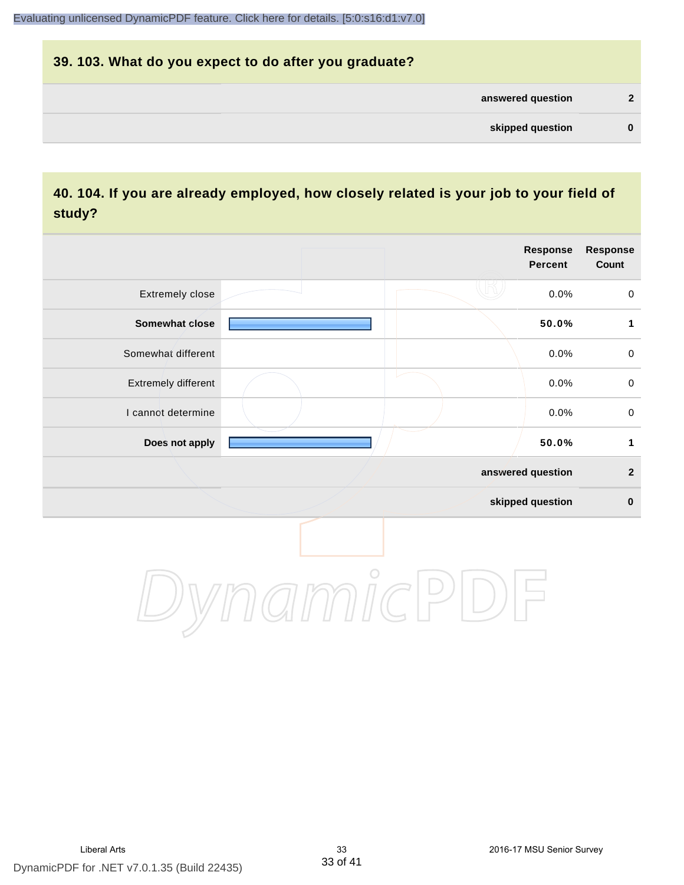# **39. 103. What do you expect to do after you graduate? answered question 2 skipped question 0**

## **40. 104. If you are already employed, how closely related is your job to your field of study?**

|                     |                | Response<br><b>Percent</b> | Response<br>Count   |
|---------------------|----------------|----------------------------|---------------------|
| Extremely close     |                | 0.0%                       | $\pmb{0}$           |
| Somewhat close      |                | 50.0%                      | 1                   |
| Somewhat different  |                | 0.0%                       | $\mathsf{O}\xspace$ |
| Extremely different |                | 0.0%                       | $\mathsf{O}\xspace$ |
| I cannot determine  |                | 0.0%                       | $\mathsf{O}\xspace$ |
| Does not apply      |                | 50.0%                      | $\mathbf 1$         |
|                     |                | answered question          | $\mathbf{2}$        |
|                     |                | skipped question           | $\pmb{0}$           |
|                     | $\overline{O}$ |                            |                     |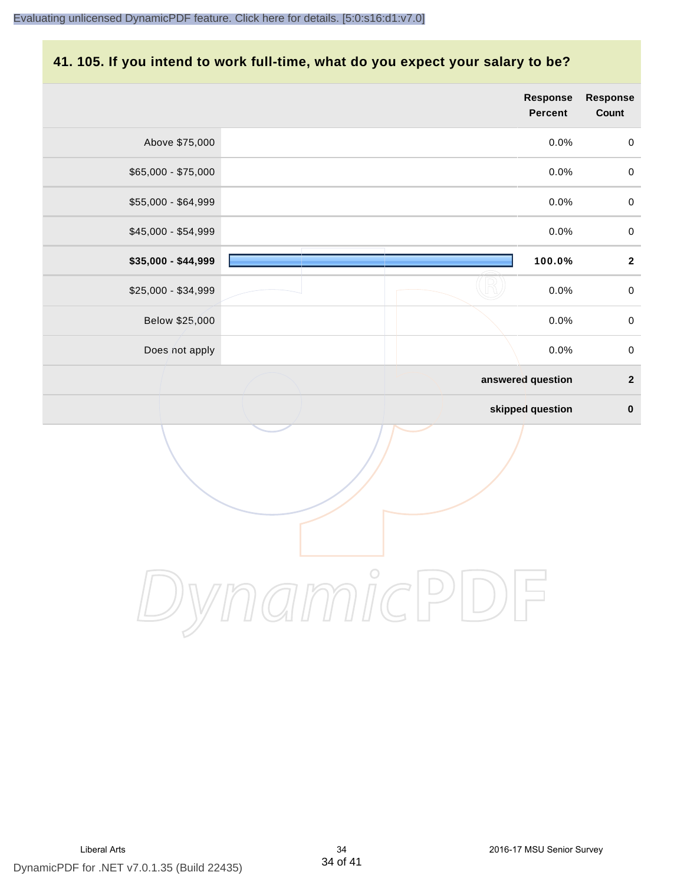#### **41. 105. If you intend to work full-time, what do you expect your salary to be?**

|                     | <b>Response</b><br><b>Percent</b> | Response<br>Count |
|---------------------|-----------------------------------|-------------------|
| Above \$75,000      | $0.0\%$                           | $\pmb{0}$         |
| \$65,000 - \$75,000 | 0.0%                              | $\pmb{0}$         |
| \$55,000 - \$64,999 | 0.0%                              | $\pmb{0}$         |
| \$45,000 - \$54,999 | 0.0%                              | $\pmb{0}$         |
| \$35,000 - \$44,999 | 100.0%                            | $\mathbf{2}$      |
| \$25,000 - \$34,999 | 0.0%                              | $\pmb{0}$         |
| Below \$25,000      | 0.0%                              | $\pmb{0}$         |
| Does not apply      | 0.0%                              | $\pmb{0}$         |
|                     | answered question                 | $\boldsymbol{2}$  |
|                     | skipped question                  | $\pmb{0}$         |
|                     |                                   |                   |
|                     | $\bigcirc$                        |                   |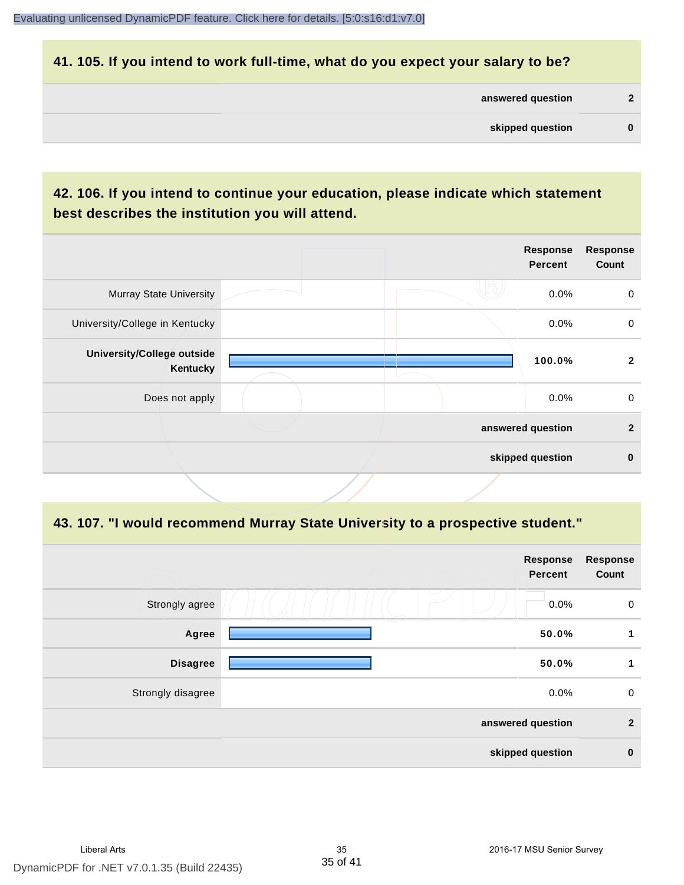#### **41. 105. If you intend to work full-time, what do you expect your salary to be?**

| answered question |  |
|-------------------|--|
| skipped question  |  |

## **42. 106. If you intend to continue your education, please indicate which statement best describes the institution you will attend.**

|                                        |  | <b>Response</b><br><b>Percent</b> | <b>Response</b><br>Count |
|----------------------------------------|--|-----------------------------------|--------------------------|
| <b>Murray State University</b>         |  | 0.0%                              | $\mathbf 0$              |
| University/College in Kentucky         |  | 0.0%                              | $\mathbf 0$              |
| University/College outside<br>Kentucky |  | 100.0%                            | $\mathbf{2}$             |
| Does not apply                         |  | $0.0\%$                           | $\mathbf 0$              |
|                                        |  | answered question                 | $\mathbf{2}$             |
|                                        |  | skipped question                  | $\bf{0}$                 |

#### **43. 107. "I would recommend Murray State University to a prospective student."**

|                   | <b>Response</b><br><b>Percent</b> | <b>Response</b><br>Count |
|-------------------|-----------------------------------|--------------------------|
| Strongly agree    | └<br>0.0%                         | $\pmb{0}$                |
| Agree             | 50.0%                             | 1                        |
| <b>Disagree</b>   | 50.0%                             | 1                        |
| Strongly disagree | 0.0%                              | $\pmb{0}$                |
|                   | answered question                 | $\overline{2}$           |
|                   | skipped question                  | $\pmb{0}$                |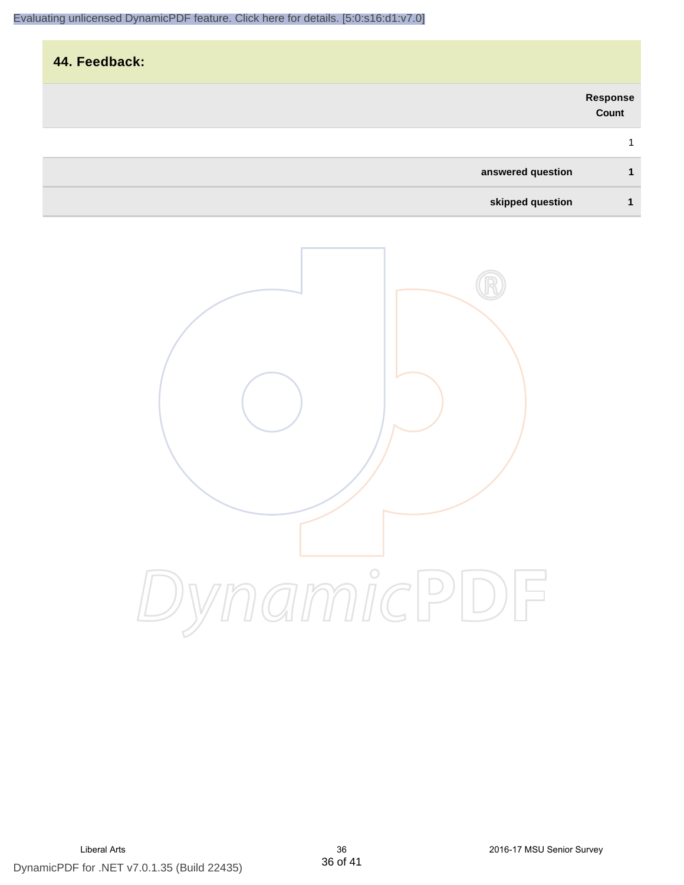| 44. Feedback:     |                   |
|-------------------|-------------------|
|                   | Response<br>Count |
|                   | 1                 |
| answered question | $\mathbf{1}$      |
| skipped question  | 1                 |
|                   |                   |

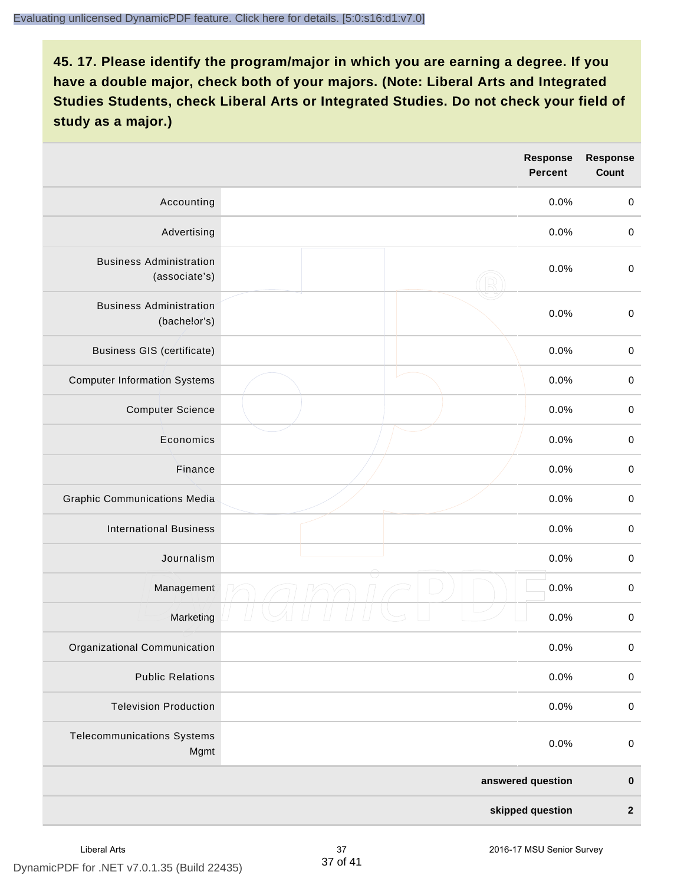|                                                 | Response<br><b>Percent</b> | <b>Response</b><br>Count |
|-------------------------------------------------|----------------------------|--------------------------|
| Accounting                                      | 0.0%                       | $\pmb{0}$                |
| Advertising                                     | 0.0%                       | $\mathbf 0$              |
| <b>Business Administration</b><br>(associate's) | 0.0%                       | $\mathbf 0$              |
| <b>Business Administration</b><br>(bachelor's)  | 0.0%                       | $\pmb{0}$                |
| <b>Business GIS (certificate)</b>               | 0.0%                       | $\mathbf 0$              |
| <b>Computer Information Systems</b>             | 0.0%                       | $\pmb{0}$                |
| <b>Computer Science</b>                         | 0.0%                       | $\pmb{0}$                |
| Economics                                       | 0.0%                       | $\mathbf 0$              |
| Finance                                         | 0.0%                       | $\pmb{0}$                |
| <b>Graphic Communications Media</b>             | 0.0%                       | $\mathbf 0$              |
| <b>International Business</b>                   | 0.0%                       | $\pmb{0}$                |
| Journalism                                      | 0.0%                       | $\pmb{0}$                |
| Management                                      | 0.0%                       | $\,0\,$                  |
| Marketing                                       | 0.0%                       | $\mathbf 0$              |
| Organizational Communication                    | 0.0%                       | $\pmb{0}$                |
| <b>Public Relations</b>                         | 0.0%                       | $\pmb{0}$                |
| <b>Television Production</b>                    | 0.0%                       | $\mathbf 0$              |
| <b>Telecommunications Systems</b><br>Mgmt       | 0.0%                       | $\pmb{0}$                |
|                                                 | answered question          | $\pmb{0}$                |
|                                                 | skipped question           | $\boldsymbol{2}$         |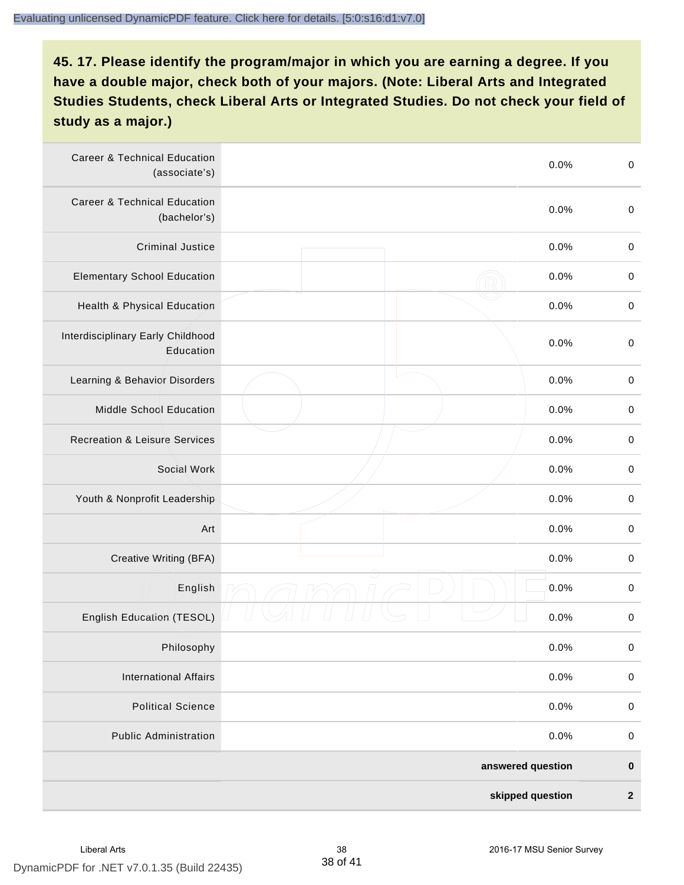| <b>Career &amp; Technical Education</b><br>(associate's) | 0.0%              | $\boldsymbol{0}$ |
|----------------------------------------------------------|-------------------|------------------|
| <b>Career &amp; Technical Education</b><br>(bachelor's)  | 0.0%              | $\boldsymbol{0}$ |
| <b>Criminal Justice</b>                                  | 0.0%              | $\boldsymbol{0}$ |
| <b>Elementary School Education</b>                       | 0.0%              | $\boldsymbol{0}$ |
| Health & Physical Education                              | 0.0%              | $\pmb{0}$        |
| Interdisciplinary Early Childhood<br>Education           | 0.0%              | $\boldsymbol{0}$ |
| Learning & Behavior Disorders                            | 0.0%              | $\boldsymbol{0}$ |
| Middle School Education                                  | 0.0%              | $\boldsymbol{0}$ |
| <b>Recreation &amp; Leisure Services</b>                 | 0.0%              | $\pmb{0}$        |
| Social Work                                              | 0.0%              | $\pmb{0}$        |
| Youth & Nonprofit Leadership                             | 0.0%              | $\boldsymbol{0}$ |
| Art                                                      | 0.0%              | $\boldsymbol{0}$ |
| Creative Writing (BFA)                                   | 0.0%              | $\boldsymbol{0}$ |
| English                                                  | 0.0%              | $\pmb{0}$        |
| <b>English Education (TESOL)</b>                         | 0.0%              | $\pmb{0}$        |
| Philosophy                                               | 0.0%              | 0                |
| <b>International Affairs</b>                             | 0.0%              | $\pmb{0}$        |
| <b>Political Science</b>                                 | 0.0%              | $\pmb{0}$        |
| <b>Public Administration</b>                             | 0.0%              | $\pmb{0}$        |
|                                                          | answered question | $\pmb{0}$        |
|                                                          | skipped question  | $\boldsymbol{2}$ |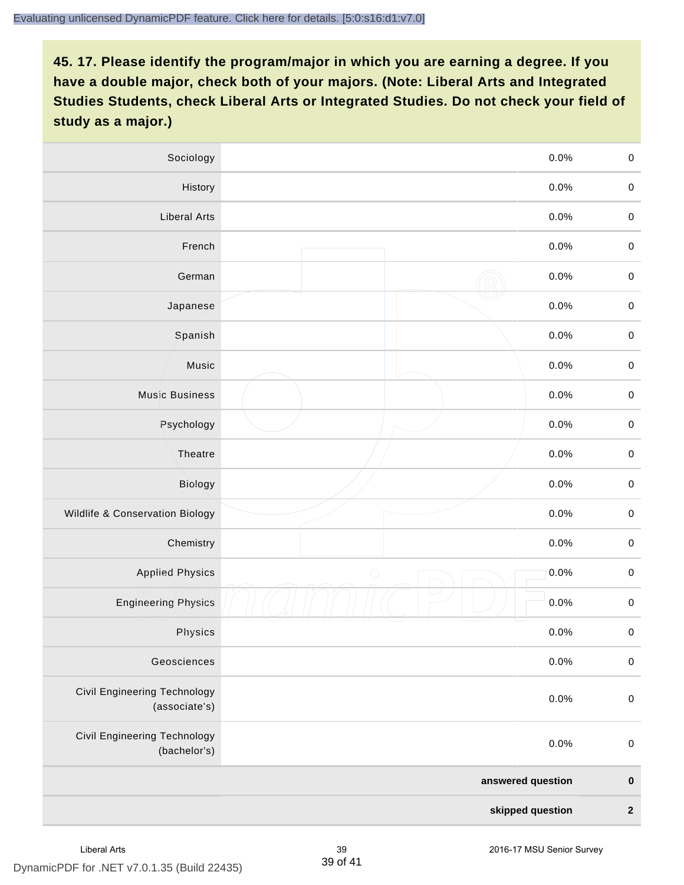| Sociology                                     | 0.0%               | $\mathbf 0$      |
|-----------------------------------------------|--------------------|------------------|
| History                                       | 0.0%               | $\mathbf 0$      |
| <b>Liberal Arts</b>                           | 0.0%               | $\mathbf 0$      |
| French                                        | 0.0%               | $\mathbf 0$      |
| German                                        | 0.0%               | $\pmb{0}$        |
| Japanese                                      | 0.0%               | $\mathbf 0$      |
| Spanish                                       | 0.0%               | $\mathbf 0$      |
| Music                                         | 0.0%               | $\mathbf 0$      |
| Music Business                                | 0.0%               | $\pmb{0}$        |
| Psychology                                    | 0.0%               | $\mathbf 0$      |
| Theatre                                       | 0.0%               | $\pmb{0}$        |
| Biology                                       | 0.0%               | $\mbox{O}$       |
| Wildlife & Conservation Biology               | 0.0%               | $\mathbf 0$      |
| Chemistry                                     | 0.0%               | $\mathbf 0$      |
| <b>Applied Physics</b>                        | $\bigcirc$<br>0.0% | $\boldsymbol{0}$ |
| <b>Engineering Physics</b>                    | 0.0%               | $\mathbf 0$      |
| Physics                                       | 0.0%               | $\mathbf 0$      |
| Geosciences                                   | 0.0%               | $\pmb{0}$        |
| Civil Engineering Technology<br>(associate's) | 0.0%               | $\pmb{0}$        |
| Civil Engineering Technology<br>(bachelor's)  | 0.0%               | $\pmb{0}$        |
|                                               | answered question  | $\pmb{0}$        |
|                                               | skipped question   | $\boldsymbol{2}$ |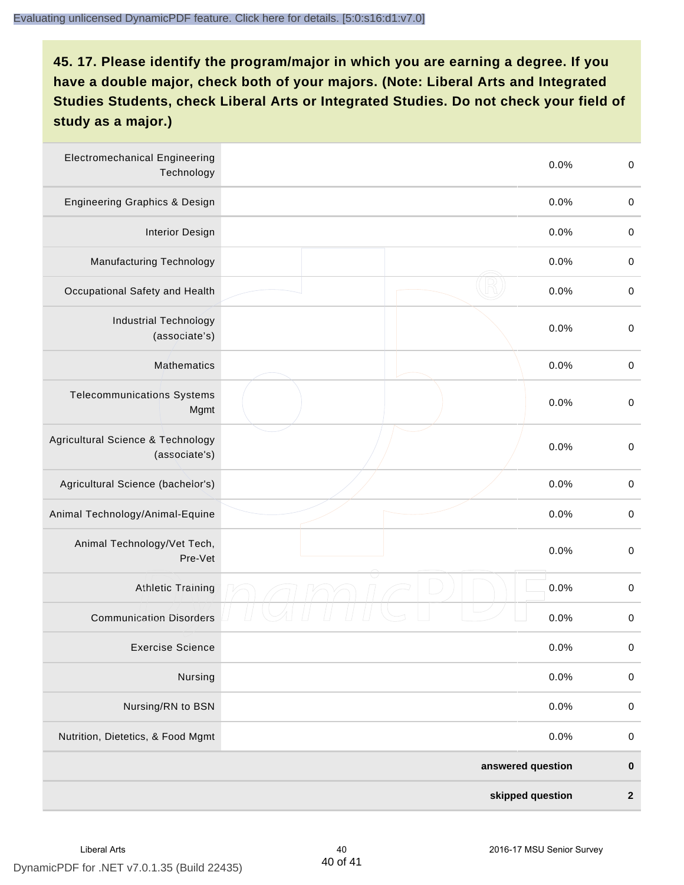| <b>Electromechanical Engineering</b><br>Technology | 0.0%              | $\boldsymbol{0}$ |
|----------------------------------------------------|-------------------|------------------|
| <b>Engineering Graphics &amp; Design</b>           | 0.0%              | $\pmb{0}$        |
| <b>Interior Design</b>                             | 0.0%              | $\boldsymbol{0}$ |
| Manufacturing Technology                           | 0.0%              | $\boldsymbol{0}$ |
| Occupational Safety and Health                     | 0.0%              | $\boldsymbol{0}$ |
| <b>Industrial Technology</b><br>(associate's)      | 0.0%              | $\,0\,$          |
| Mathematics                                        | 0.0%              | $\boldsymbol{0}$ |
| <b>Telecommunications Systems</b><br>Mgmt          | 0.0%              | $\boldsymbol{0}$ |
| Agricultural Science & Technology<br>(associate's) | 0.0%              | $\boldsymbol{0}$ |
| Agricultural Science (bachelor's)                  | 0.0%              | $\boldsymbol{0}$ |
| Animal Technology/Animal-Equine                    | 0.0%              | $\boldsymbol{0}$ |
| Animal Technology/Vet Tech,<br>Pre-Vet             | 0.0%              | $\boldsymbol{0}$ |
| Athletic Training                                  | 0.0%              | $\pmb{0}$        |
| <b>Communication Disorders</b>                     | 0.0%              | $\boldsymbol{0}$ |
| <b>Exercise Science</b>                            | 0.0%              | $\pmb{0}$        |
| Nursing                                            | 0.0%              | $\pmb{0}$        |
| Nursing/RN to BSN                                  | 0.0%              | $\boldsymbol{0}$ |
| Nutrition, Dietetics, & Food Mgmt                  | 0.0%              | $\pmb{0}$        |
|                                                    | answered question | $\pmb{0}$        |
|                                                    | skipped question  | $\boldsymbol{2}$ |